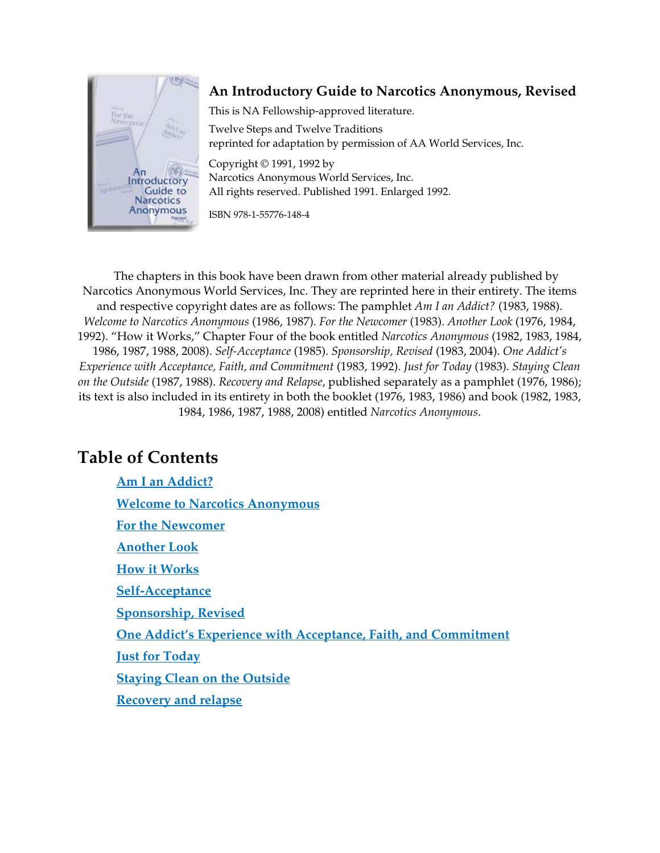

# **An Introductory Guide to Narcotics Anonymous, Revised**

This is NA Fellowship-approved literature.

Twelve Steps and Twelve Traditions reprinted for adaptation by permission of AA World Services, Inc.

Copyright © 1991, 1992 by Narcotics Anonymous World Services, Inc. All rights reserved. Published 1991. Enlarged 1992.

ISBN 978-1-55776-148-4

The chapters in this book have been drawn from other material already published by Narcotics Anonymous World Services, Inc. They are reprinted here in their entirety. The items and respective copyright dates are as follows: The pamphlet *Am I an Addict?* (1983, 1988). *Welcome to Narcotics Anonymous* (1986, 1987). *For the Newcomer* (1983). *Another Look* (1976, 1984, 1992). "How it Works," Chapter Four of the book entitled *Narcotics Anonymous* (1982, 1983, 1984, 1986, 1987, 1988, 2008). *Self-Acceptance* (1985). *Sponsorship, Revised* (1983, 2004). *One Addict's Experience with Acceptance, Faith, and Commitment* (1983, 1992). *Just for Today* (1983). *Staying Clean on the Outside* (1987, 1988). *Recovery and Relapse*, published separately as a pamphlet (1976, 1986); its text is also included in its entirety in both the booklet (1976, 1983, 1986) and book (1982, 1983, 1984, 1986, 1987, 1988, 2008) entitled *Narcotics Anonymous*.

# **Table of Contents**

**[Am I an Addict?](#page-1-0) [Welcome to Narcotics Anonymous](#page-4-0) [For the Newcomer](#page-6-0)  [Another Look](#page-8-0) [How it Works](#page-10-0) [Self-Acceptance](#page-29-0) [Sponsorship, Revised](#page-31-0) [One Addict's Experience with Acceptance, Faith, and Commitment](#page-34-0) [Just for Today](#page-36-0) [Staying Clean on the Outside](#page-38-0) [Recovery and relapse](#page-41-0)**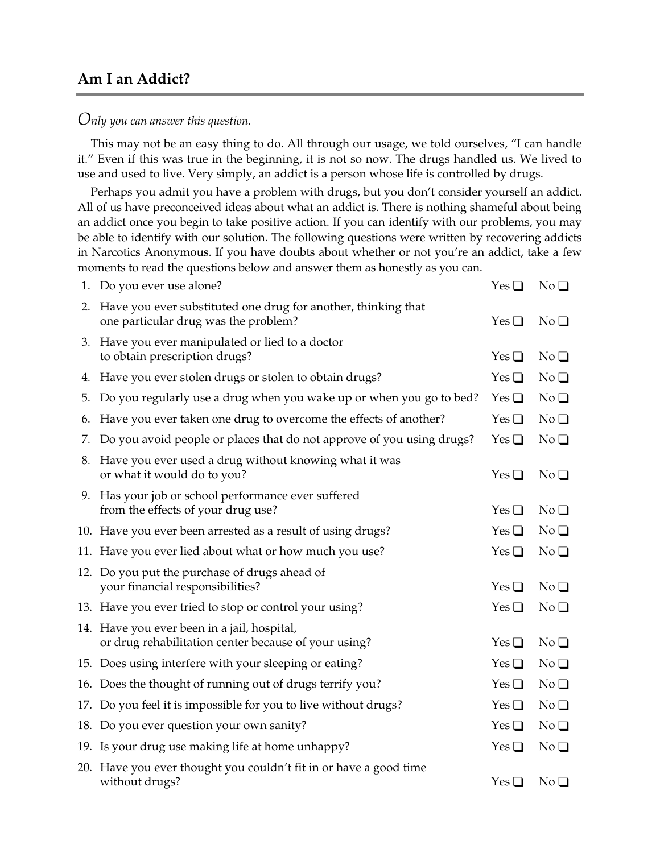# <span id="page-1-0"></span>**Am I an Addict?**

#### *Only you can answer this question.*

This may not be an easy thing to do. All through our usage, we told ourselves, "I can handle it." Even if this was true in the beginning, it is not so now. The drugs handled us. We lived to use and used to live. Very simply, an addict is a person whose life is controlled by drugs.

Perhaps you admit you have a problem with drugs, but you don't consider yourself an addict. All of us have preconceived ideas about what an addict is. There is nothing shameful about being an addict once you begin to take positive action. If you can identify with our problems, you may be able to identify with our solution. The following questions were written by recovering addicts in Narcotics Anonymous. If you have doubts about whether or not you're an addict, take a few moments to read the questions below and answer them as honestly as you can.

|    | 1. Do you ever use alone?                                                                                | $Yes \square$ | No <sub>1</sub> |
|----|----------------------------------------------------------------------------------------------------------|---------------|-----------------|
|    | 2. Have you ever substituted one drug for another, thinking that<br>one particular drug was the problem? | $Yes \square$ | No <sub>1</sub> |
|    | 3. Have you ever manipulated or lied to a doctor<br>to obtain prescription drugs?                        | $Yes \square$ | No <sub>1</sub> |
|    | 4. Have you ever stolen drugs or stolen to obtain drugs?                                                 | $Yes \square$ | No <sub>1</sub> |
| 5. | Do you regularly use a drug when you wake up or when you go to bed?                                      | $Yes \square$ | No <sub>1</sub> |
| 6. | Have you ever taken one drug to overcome the effects of another?                                         | $Yes \square$ | No <sub>1</sub> |
| 7. | Do you avoid people or places that do not approve of you using drugs?                                    | $Yes \square$ | No <sub>1</sub> |
|    | 8. Have you ever used a drug without knowing what it was<br>or what it would do to you?                  | $Yes \square$ | No <sub>1</sub> |
|    | 9. Has your job or school performance ever suffered<br>from the effects of your drug use?                | $Yes \square$ | No <sub>1</sub> |
|    | 10. Have you ever been arrested as a result of using drugs?                                              | $Yes \Box$    | No <sub>1</sub> |
|    | 11. Have you ever lied about what or how much you use?                                                   | $Yes \square$ | No <sub>1</sub> |
|    | 12. Do you put the purchase of drugs ahead of<br>your financial responsibilities?                        | $Yes \Box$    | No <sub>D</sub> |
|    | 13. Have you ever tried to stop or control your using?                                                   | $Yes \square$ | No <sub>1</sub> |
|    | 14. Have you ever been in a jail, hospital,<br>or drug rehabilitation center because of your using?      | $Yes \Box$    | No <sub>D</sub> |
|    | 15. Does using interfere with your sleeping or eating?                                                   | $Yes \Box$    | No <sub>1</sub> |
|    | 16. Does the thought of running out of drugs terrify you?                                                | $Yes \square$ | No <sub>1</sub> |
|    | 17. Do you feel it is impossible for you to live without drugs?                                          | $Yes \square$ | No <sub>1</sub> |
|    | 18. Do you ever question your own sanity?                                                                | $Yes \Box$    | No <sub>1</sub> |
|    | 19. Is your drug use making life at home unhappy?                                                        | $Yes \square$ | No <sub>1</sub> |
|    | 20. Have you ever thought you couldn't fit in or have a good time<br>without drugs?                      | $Yes \square$ | No <sub>1</sub> |
|    |                                                                                                          |               |                 |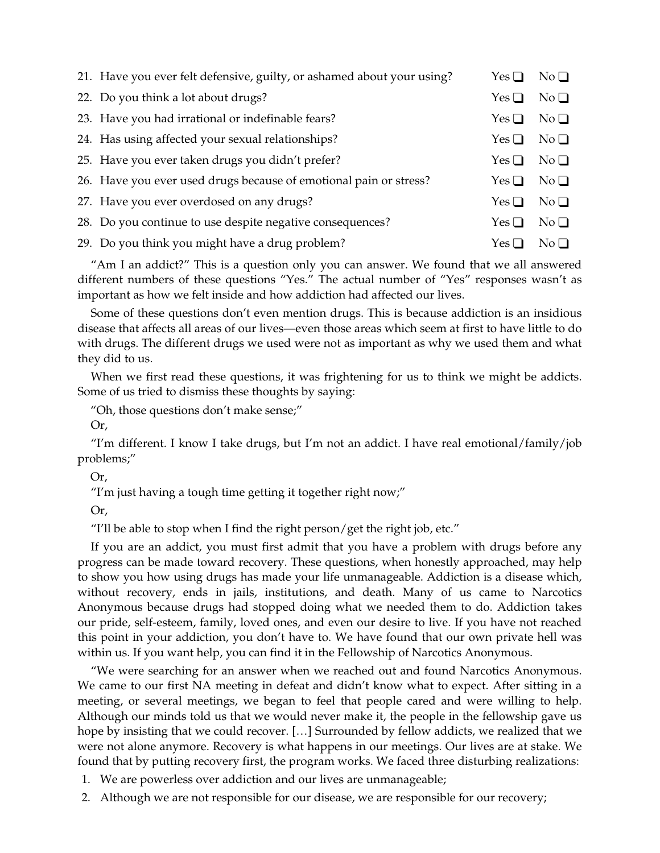| 21. Have you ever felt defensive, guilty, or ashamed about your using? | $Yes\Box$  | $\rm No \, \Box$ |
|------------------------------------------------------------------------|------------|------------------|
| 22. Do you think a lot about drugs?                                    | $Yes \Box$ | No <sub>1</sub>  |
| 23. Have you had irrational or indefinable fears?                      | $Yes \Box$ | $\rm No \, \Box$ |
| 24. Has using affected your sexual relationships?                      | $Yes \Box$ | No <sub>D</sub>  |
| 25. Have you ever taken drugs you didn't prefer?                       | $Yes \Box$ | No <sub>D</sub>  |
| 26. Have you ever used drugs because of emotional pain or stress?      | $Yes \Box$ | No <sub>1</sub>  |
| 27. Have you ever overdosed on any drugs?                              | $Yes \Box$ | $\rm No \, \Box$ |
| 28. Do you continue to use despite negative consequences?              | $Yes \Box$ | No <sub>D</sub>  |
| 29. Do you think you might have a drug problem?                        | Yes I      | $\rm No\,\Box$   |

"Am I an addict?" This is a question only you can answer. We found that we all answered different numbers of these questions "Yes." The actual number of "Yes" responses wasn't as important as how we felt inside and how addiction had affected our lives.

Some of these questions don't even mention drugs. This is because addiction is an insidious disease that affects all areas of our lives—even those areas which seem at first to have little to do with drugs. The different drugs we used were not as important as why we used them and what they did to us.

When we first read these questions, it was frightening for us to think we might be addicts. Some of us tried to dismiss these thoughts by saying:

"Oh, those questions don't make sense;"

Or,

"I'm different. I know I take drugs, but I'm not an addict. I have real emotional/family/job problems;"

Or,

"I'm just having a tough time getting it together right now;"

Or,

"I'll be able to stop when I find the right person/get the right job, etc."

If you are an addict, you must first admit that you have a problem with drugs before any progress can be made toward recovery. These questions, when honestly approached, may help to show you how using drugs has made your life unmanageable. Addiction is a disease which, without recovery, ends in jails, institutions, and death. Many of us came to Narcotics Anonymous because drugs had stopped doing what we needed them to do. Addiction takes our pride, self-esteem, family, loved ones, and even our desire to live. If you have not reached this point in your addiction, you don't have to. We have found that our own private hell was within us. If you want help, you can find it in the Fellowship of Narcotics Anonymous.

"We were searching for an answer when we reached out and found Narcotics Anonymous. We came to our first NA meeting in defeat and didn't know what to expect. After sitting in a meeting, or several meetings, we began to feel that people cared and were willing to help. Although our minds told us that we would never make it, the people in the fellowship gave us hope by insisting that we could recover. [...] Surrounded by fellow addicts, we realized that we were not alone anymore. Recovery is what happens in our meetings. Our lives are at stake. We found that by putting recovery first, the program works. We faced three disturbing realizations:

1. We are powerless over addiction and our lives are unmanageable;

2. Although we are not responsible for our disease, we are responsible for our recovery;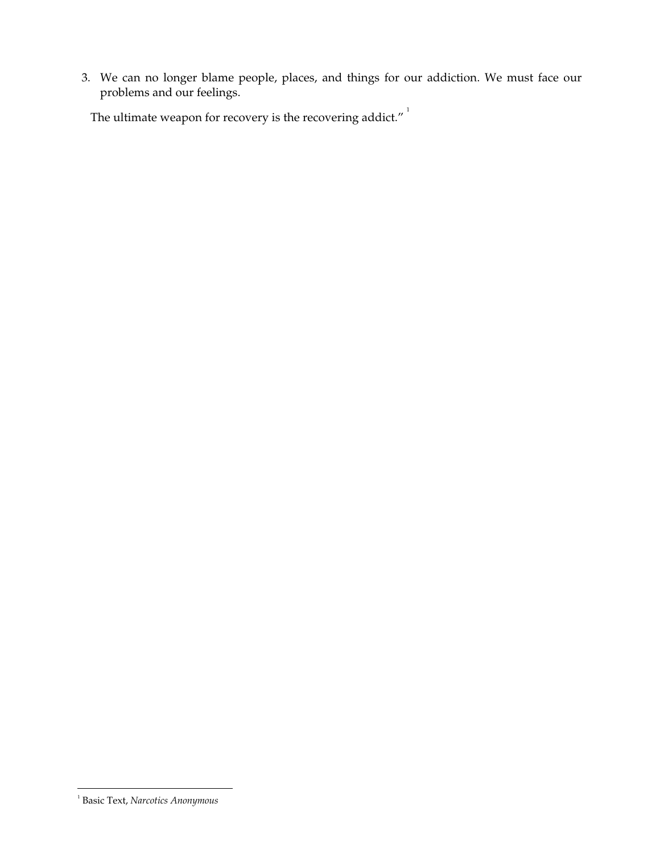3. We can no longer blame people, places, and things for our addiction. We must face our problems and our feelings.

The ultimate weapon for recovery is the recovering addict."  $\prescript{1}{}{}$ 

 1 Basic Text, *Narcotics Anonymous*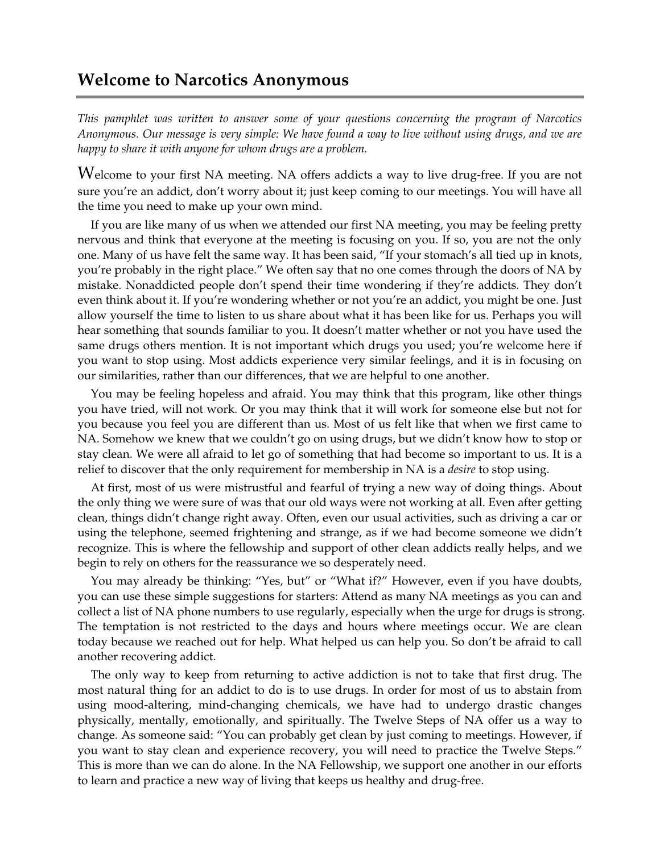# <span id="page-4-0"></span>**Welcome to Narcotics Anonymous**

*This pamphlet was written to answer some of your questions concerning the program of Narcotics Anonymous. Our message is very simple: We have found a way to live without using drugs, and we are happy to share it with anyone for whom drugs are a problem.*

Welcome to your first NA meeting. NA offers addicts a way to live drug-free. If you are not sure you're an addict, don't worry about it; just keep coming to our meetings. You will have all the time you need to make up your own mind.

If you are like many of us when we attended our first NA meeting, you may be feeling pretty nervous and think that everyone at the meeting is focusing on you. If so, you are not the only one. Many of us have felt the same way. It has been said, "If your stomach's all tied up in knots, you're probably in the right place." We often say that no one comes through the doors of NA by mistake. Nonaddicted people don't spend their time wondering if they're addicts. They don't even think about it. If you're wondering whether or not you're an addict, you might be one. Just allow yourself the time to listen to us share about what it has been like for us. Perhaps you will hear something that sounds familiar to you. It doesn't matter whether or not you have used the same drugs others mention. It is not important which drugs you used; you're welcome here if you want to stop using. Most addicts experience very similar feelings, and it is in focusing on our similarities, rather than our differences, that we are helpful to one another.

You may be feeling hopeless and afraid. You may think that this program, like other things you have tried, will not work. Or you may think that it will work for someone else but not for you because you feel you are different than us. Most of us felt like that when we first came to NA. Somehow we knew that we couldn't go on using drugs, but we didn't know how to stop or stay clean. We were all afraid to let go of something that had become so important to us. It is a relief to discover that the only requirement for membership in NA is a *desire* to stop using.

At first, most of us were mistrustful and fearful of trying a new way of doing things. About the only thing we were sure of was that our old ways were not working at all. Even after getting clean, things didn't change right away. Often, even our usual activities, such as driving a car or using the telephone, seemed frightening and strange, as if we had become someone we didn't recognize. This is where the fellowship and support of other clean addicts really helps, and we begin to rely on others for the reassurance we so desperately need.

You may already be thinking: "Yes, but" or "What if?" However, even if you have doubts, you can use these simple suggestions for starters: Attend as many NA meetings as you can and collect a list of NA phone numbers to use regularly, especially when the urge for drugs is strong. The temptation is not restricted to the days and hours where meetings occur. We are clean today because we reached out for help. What helped us can help you. So don't be afraid to call another recovering addict.

The only way to keep from returning to active addiction is not to take that first drug. The most natural thing for an addict to do is to use drugs. In order for most of us to abstain from using mood-altering, mind-changing chemicals, we have had to undergo drastic changes physically, mentally, emotionally, and spiritually. The Twelve Steps of NA offer us a way to change. As someone said: "You can probably get clean by just coming to meetings. However, if you want to stay clean and experience recovery, you will need to practice the Twelve Steps." This is more than we can do alone. In the NA Fellowship, we support one another in our efforts to learn and practice a new way of living that keeps us healthy and drug-free.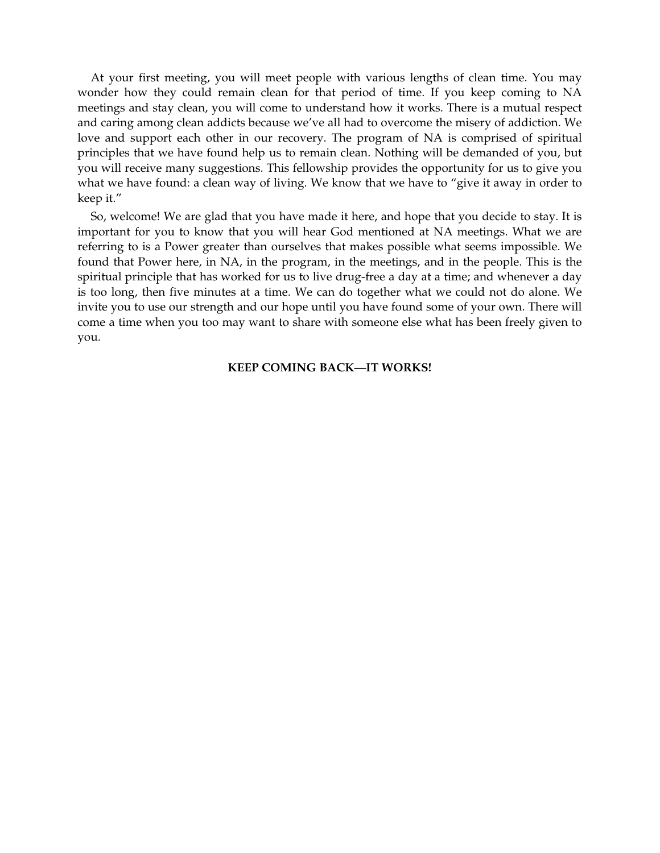At your first meeting, you will meet people with various lengths of clean time. You may wonder how they could remain clean for that period of time. If you keep coming to NA meetings and stay clean, you will come to understand how it works. There is a mutual respect and caring among clean addicts because we've all had to overcome the misery of addiction. We love and support each other in our recovery. The program of NA is comprised of spiritual principles that we have found help us to remain clean. Nothing will be demanded of you, but you will receive many suggestions. This fellowship provides the opportunity for us to give you what we have found: a clean way of living. We know that we have to "give it away in order to keep it."

So, welcome! We are glad that you have made it here, and hope that you decide to stay. It is important for you to know that you will hear God mentioned at NA meetings. What we are referring to is a Power greater than ourselves that makes possible what seems impossible. We found that Power here, in NA, in the program, in the meetings, and in the people. This is the spiritual principle that has worked for us to live drug-free a day at a time; and whenever a day is too long, then five minutes at a time. We can do together what we could not do alone. We invite you to use our strength and our hope until you have found some of your own. There will come a time when you too may want to share with someone else what has been freely given to you.

#### **KEEP COMING BACK—IT WORKS!**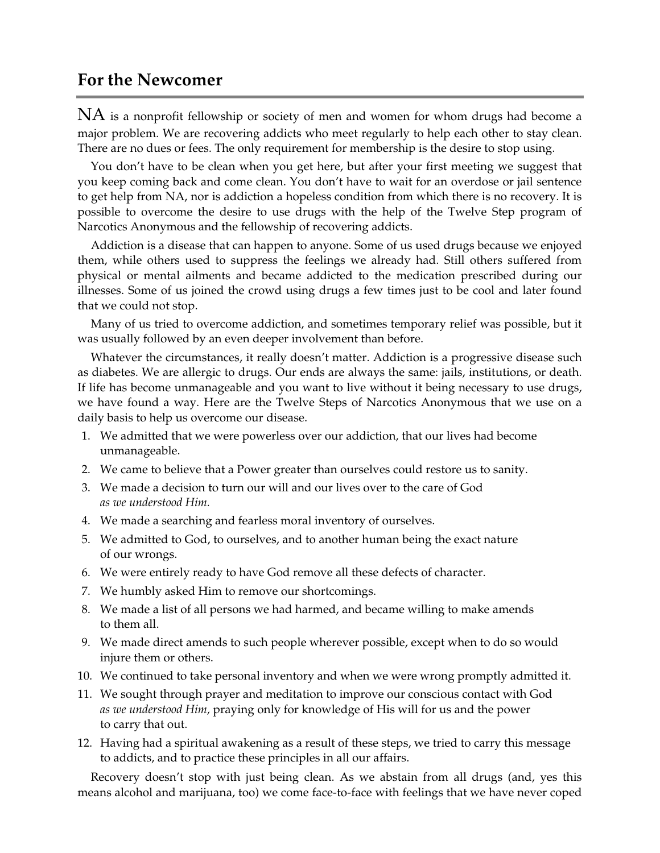# <span id="page-6-0"></span>**For the Newcomer**

NA is a nonprofit fellowship or society of men and women for whom drugs had become a major problem. We are recovering addicts who meet regularly to help each other to stay clean. There are no dues or fees. The only requirement for membership is the desire to stop using.

You don't have to be clean when you get here, but after your first meeting we suggest that you keep coming back and come clean. You don't have to wait for an overdose or jail sentence to get help from NA, nor is addiction a hopeless condition from which there is no recovery. It is possible to overcome the desire to use drugs with the help of the Twelve Step program of Narcotics Anonymous and the fellowship of recovering addicts.

Addiction is a disease that can happen to anyone. Some of us used drugs because we enjoyed them, while others used to suppress the feelings we already had. Still others suffered from physical or mental ailments and became addicted to the medication prescribed during our illnesses. Some of us joined the crowd using drugs a few times just to be cool and later found that we could not stop.

Many of us tried to overcome addiction, and sometimes temporary relief was possible, but it was usually followed by an even deeper involvement than before.

Whatever the circumstances, it really doesn't matter. Addiction is a progressive disease such as diabetes. We are allergic to drugs. Our ends are always the same: jails, institutions, or death. If life has become unmanageable and you want to live without it being necessary to use drugs, we have found a way. Here are the Twelve Steps of Narcotics Anonymous that we use on a daily basis to help us overcome our disease.

- 1. We admitted that we were powerless over our addiction, that our lives had become unmanageable.
- 2. We came to believe that a Power greater than ourselves could restore us to sanity.
- 3. We made a decision to turn our will and our lives over to the care of God *as we understood Him.*
- 4. We made a searching and fearless moral inventory of ourselves.
- 5. We admitted to God, to ourselves, and to another human being the exact nature of our wrongs.
- 6. We were entirely ready to have God remove all these defects of character.
- 7. We humbly asked Him to remove our shortcomings.
- 8. We made a list of all persons we had harmed, and became willing to make amends to them all.
- 9. We made direct amends to such people wherever possible, except when to do so would injure them or others.
- 10. We continued to take personal inventory and when we were wrong promptly admitted it.
- 11. We sought through prayer and meditation to improve our conscious contact with God *as we understood Him,* praying only for knowledge of His will for us and the power to carry that out.
- 12. Having had a spiritual awakening as a result of these steps, we tried to carry this message to addicts, and to practice these principles in all our affairs.

Recovery doesn't stop with just being clean. As we abstain from all drugs (and, yes this means alcohol and marijuana, too) we come face-to-face with feelings that we have never coped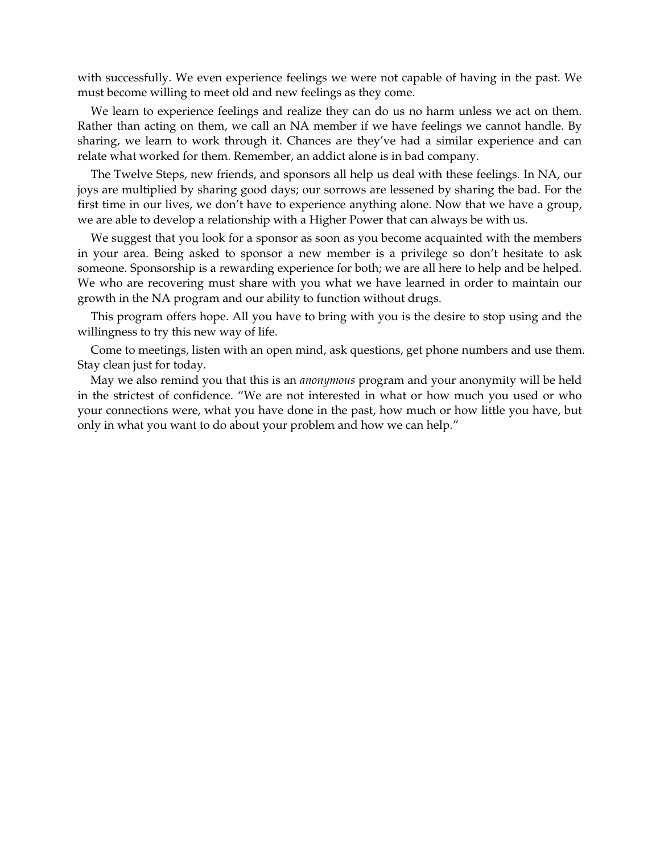with successfully. We even experience feelings we were not capable of having in the past. We must become willing to meet old and new feelings as they come.

We learn to experience feelings and realize they can do us no harm unless we act on them. Rather than acting on them, we call an NA member if we have feelings we cannot handle. By sharing, we learn to work through it. Chances are they've had a similar experience and can relate what worked for them. Remember, an addict alone is in bad company.

The Twelve Steps, new friends, and sponsors all help us deal with these feelings. In NA, our joys are multiplied by sharing good days; our sorrows are lessened by sharing the bad. For the first time in our lives, we don't have to experience anything alone. Now that we have a group, we are able to develop a relationship with a Higher Power that can always be with us.

We suggest that you look for a sponsor as soon as you become acquainted with the members in your area. Being asked to sponsor a new member is a privilege so don't hesitate to ask someone. Sponsorship is a rewarding experience for both; we are all here to help and be helped. We who are recovering must share with you what we have learned in order to maintain our growth in the NA program and our ability to function without drugs.

This program offers hope. All you have to bring with you is the desire to stop using and the willingness to try this new way of life.

Come to meetings, listen with an open mind, ask questions, get phone numbers and use them. Stay clean just for today.

May we also remind you that this is an *anonymous* program and your anonymity will be held in the strictest of confidence. "We are not interested in what or how much you used or who your connections were, what you have done in the past, how much or how little you have, but only in what you want to do about your problem and how we can help."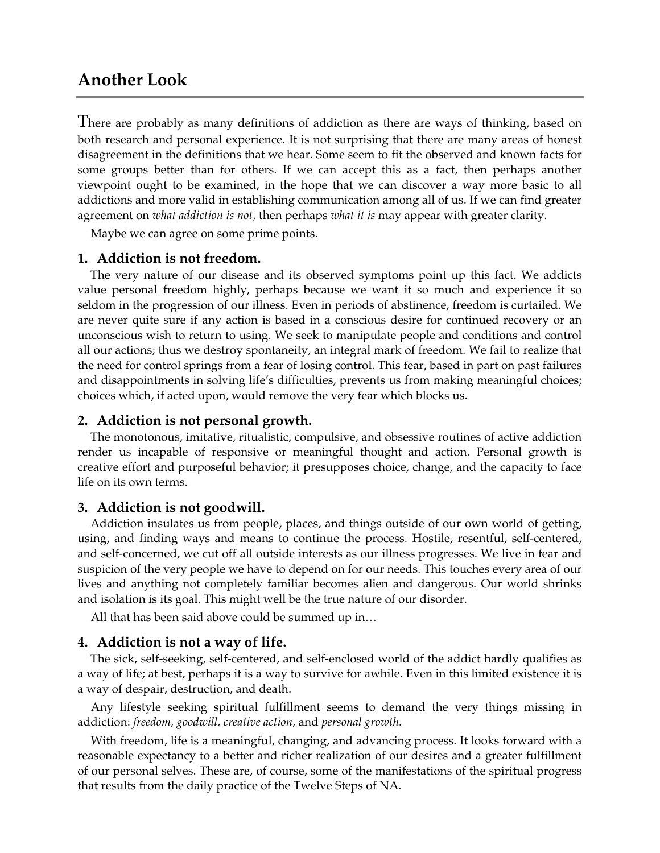# <span id="page-8-0"></span>**Another Look**

There are probably as many definitions of addiction as there are ways of thinking, based on both research and personal experience. It is not surprising that there are many areas of honest disagreement in the definitions that we hear. Some seem to fit the observed and known facts for some groups better than for others. If we can accept this as a fact, then perhaps another viewpoint ought to be examined, in the hope that we can discover a way more basic to all addictions and more valid in establishing communication among all of us. If we can find greater agreement on *what addiction is not,* then perhaps *what it is* may appear with greater clarity.

Maybe we can agree on some prime points.

#### **1. Addiction is not freedom.**

The very nature of our disease and its observed symptoms point up this fact. We addicts value personal freedom highly, perhaps because we want it so much and experience it so seldom in the progression of our illness. Even in periods of abstinence, freedom is curtailed. We are never quite sure if any action is based in a conscious desire for continued recovery or an unconscious wish to return to using. We seek to manipulate people and conditions and control all our actions; thus we destroy spontaneity, an integral mark of freedom. We fail to realize that the need for control springs from a fear of losing control. This fear, based in part on past failures and disappointments in solving life's difficulties, prevents us from making meaningful choices; choices which, if acted upon, would remove the very fear which blocks us.

#### **2. Addiction is not personal growth.**

The monotonous, imitative, ritualistic, compulsive, and obsessive routines of active addiction render us incapable of responsive or meaningful thought and action. Personal growth is creative effort and purposeful behavior; it presupposes choice, change, and the capacity to face life on its own terms.

#### **3. Addiction is not goodwill.**

Addiction insulates us from people, places, and things outside of our own world of getting, using, and finding ways and means to continue the process. Hostile, resentful, self-centered, and self-concerned, we cut off all outside interests as our illness progresses. We live in fear and suspicion of the very people we have to depend on for our needs. This touches every area of our lives and anything not completely familiar becomes alien and dangerous. Our world shrinks and isolation is its goal. This might well be the true nature of our disorder.

All that has been said above could be summed up in…

#### **4. Addiction is not a way of life.**

The sick, self-seeking, self-centered, and self-enclosed world of the addict hardly qualifies as a way of life; at best, perhaps it is a way to survive for awhile. Even in this limited existence it is a way of despair, destruction, and death.

Any lifestyle seeking spiritual fulfillment seems to demand the very things missing in addiction: *freedom, goodwill, creative action,* and *personal growth.*

With freedom, life is a meaningful, changing, and advancing process. It looks forward with a reasonable expectancy to a better and richer realization of our desires and a greater fulfillment of our personal selves. These are, of course, some of the manifestations of the spiritual progress that results from the daily practice of the Twelve Steps of NA.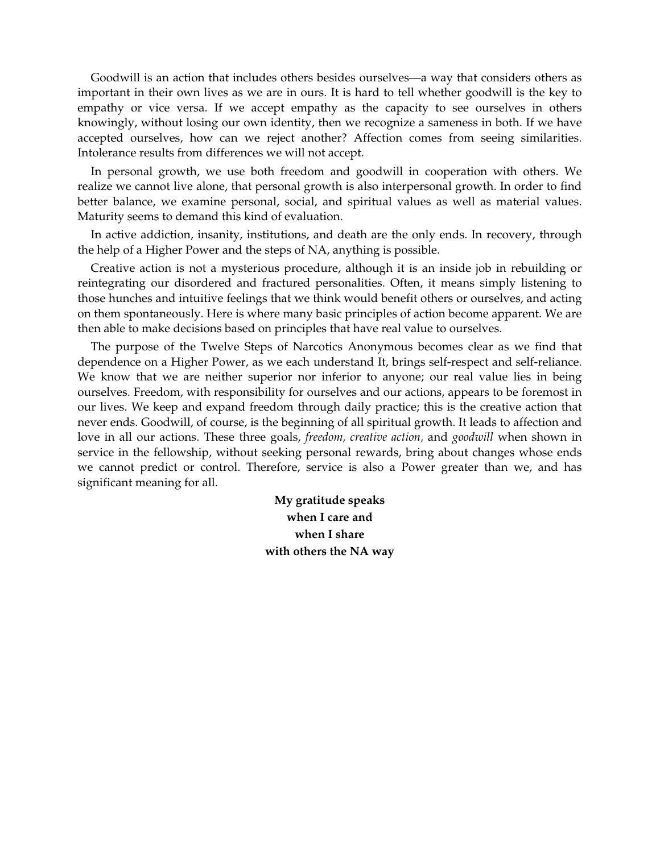Goodwill is an action that includes others besides ourselves—a way that considers others as important in their own lives as we are in ours. It is hard to tell whether goodwill is the key to empathy or vice versa. If we accept empathy as the capacity to see ourselves in others knowingly, without losing our own identity, then we recognize a sameness in both. If we have accepted ourselves, how can we reject another? Affection comes from seeing similarities. Intolerance results from differences we will not accept.

In personal growth, we use both freedom and goodwill in cooperation with others. We realize we cannot live alone, that personal growth is also interpersonal growth. In order to find better balance, we examine personal, social, and spiritual values as well as material values. Maturity seems to demand this kind of evaluation.

In active addiction, insanity, institutions, and death are the only ends. In recovery, through the help of a Higher Power and the steps of NA, anything is possible.

Creative action is not a mysterious procedure, although it is an inside job in rebuilding or reintegrating our disordered and fractured personalities. Often, it means simply listening to those hunches and intuitive feelings that we think would benefit others or ourselves, and acting on them spontaneously. Here is where many basic principles of action become apparent. We are then able to make decisions based on principles that have real value to ourselves.

The purpose of the Twelve Steps of Narcotics Anonymous becomes clear as we find that dependence on a Higher Power, as we each understand It, brings self-respect and self-reliance. We know that we are neither superior nor inferior to anyone; our real value lies in being ourselves. Freedom, with responsibility for ourselves and our actions, appears to be foremost in our lives. We keep and expand freedom through daily practice; this is the creative action that never ends. Goodwill, of course, is the beginning of all spiritual growth. It leads to affection and love in all our actions. These three goals, *freedom, creative action,* and *goodwill* when shown in service in the fellowship, without seeking personal rewards, bring about changes whose ends we cannot predict or control. Therefore, service is also a Power greater than we, and has significant meaning for all.

> **My gratitude speaks when I care and when I share with others the NA way**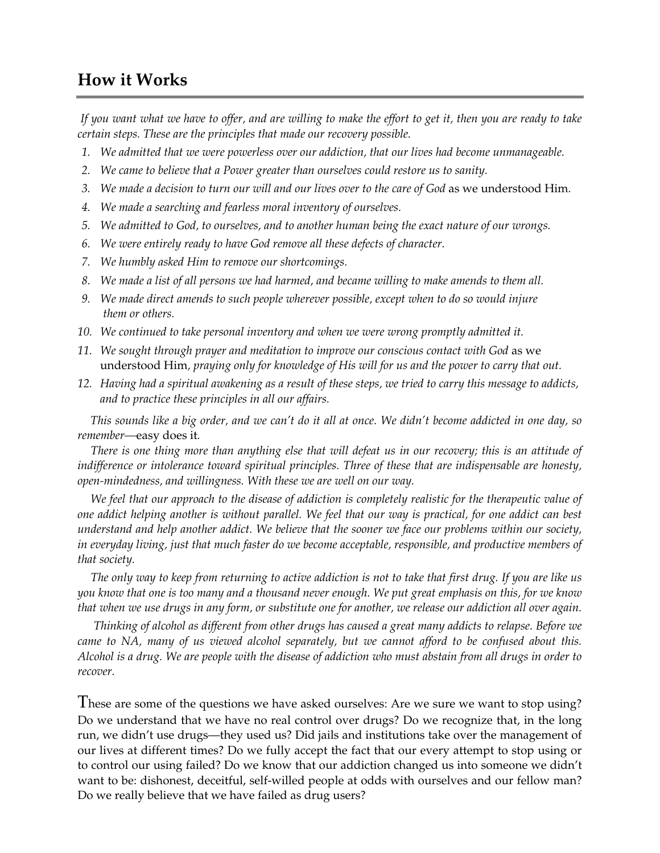# <span id="page-10-0"></span>**How it Works**

*If you want what we have to offer, and are willing to make the effort to get it, then you are ready to take certain steps. These are the principles that made our recovery possible.* 

- *1. We admitted that we were powerless over our addiction, that our lives had become unmanageable.*
- *2. We came to believe that a Power greater than ourselves could restore us to sanity.*
- *3. We made a decision to turn our will and our lives over to the care of God* as we understood Him*.*
- *4. We made a searching and fearless moral inventory of ourselves.*
- *5. We admitted to God, to ourselves, and to another human being the exact nature of our wrongs.*
- *6. We were entirely ready to have God remove all these defects of character.*
- *7. We humbly asked Him to remove our shortcomings.*
- *8. We made a list of all persons we had harmed, and became willing to make amends to them all.*
- *9. We made direct amends to such people wherever possible, except when to do so would injure them or others.*
- *10. We continued to take personal inventory and when we were wrong promptly admitted it.*
- *11. We sought through prayer and meditation to improve our conscious contact with God* as we understood Him*, praying only for knowledge of His will for us and the power to carry that out.*
- *12. Having had a spiritual awakening as a result of these steps, we tried to carry this message to addicts, and to practice these principles in all our affairs.*

*This sounds like a big order, and we can't do it all at once. We didn't become addicted in one day, so remember—*easy does it*.* 

*There is one thing more than anything else that will defeat us in our recovery; this is an attitude of indifference or intolerance toward spiritual principles. Three of these that are indispensable are honesty, open-mindedness, and willingness. With these we are well on our way.* 

*We feel that our approach to the disease of addiction is completely realistic for the therapeutic value of one addict helping another is without parallel. We feel that our way is practical, for one addict can best understand and help another addict. We believe that the sooner we face our problems within our society, in everyday living, just that much faster do we become acceptable, responsible, and productive members of that society.* 

*The only way to keep from returning to active addiction is not to take that first drug. If you are like us you know that one is too many and a thousand never enough. We put great emphasis on this, for we know that when we use drugs in any form, or substitute one for another, we release our addiction all over again.* 

 *Thinking of alcohol as different from other drugs has caused a great many addicts to relapse. Before we came to NA, many of us viewed alcohol separately, but we cannot afford to be confused about this. Alcohol is a drug. We are people with the disease of addiction who must abstain from all drugs in order to recover.*

These are some of the questions we have asked ourselves: Are we sure we want to stop using? Do we understand that we have no real control over drugs? Do we recognize that, in the long run, we didn't use drugs—they used us? Did jails and institutions take over the management of our lives at different times? Do we fully accept the fact that our every attempt to stop using or to control our using failed? Do we know that our addiction changed us into someone we didn't want to be: dishonest, deceitful, self-willed people at odds with ourselves and our fellow man? Do we really believe that we have failed as drug users?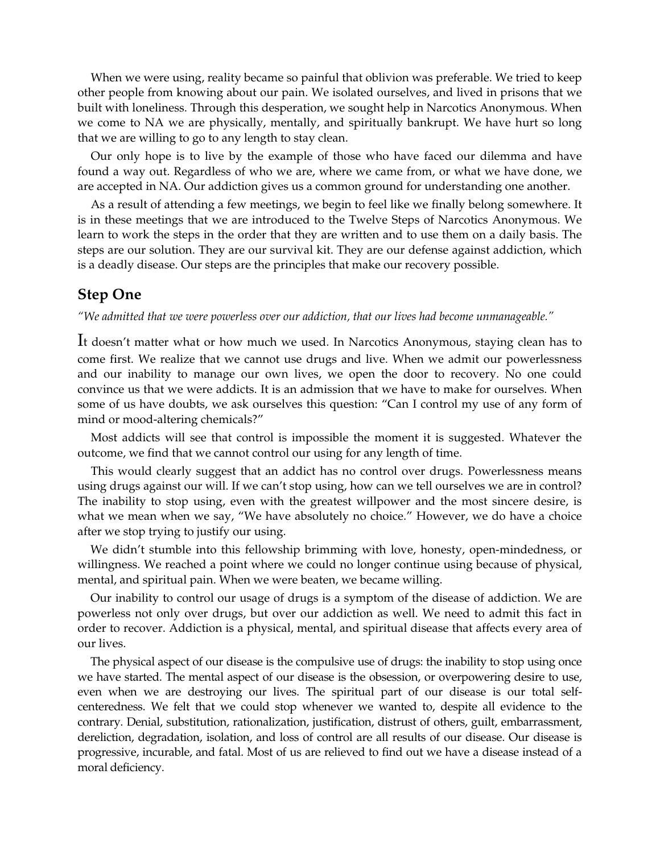When we were using, reality became so painful that oblivion was preferable. We tried to keep other people from knowing about our pain. We isolated ourselves, and lived in prisons that we built with loneliness. Through this desperation, we sought help in Narcotics Anonymous. When we come to NA we are physically, mentally, and spiritually bankrupt. We have hurt so long that we are willing to go to any length to stay clean.

Our only hope is to live by the example of those who have faced our dilemma and have found a way out. Regardless of who we are, where we came from, or what we have done, we are accepted in NA. Our addiction gives us a common ground for understanding one another.

As a result of attending a few meetings, we begin to feel like we finally belong somewhere. It is in these meetings that we are introduced to the Twelve Steps of Narcotics Anonymous. We learn to work the steps in the order that they are written and to use them on a daily basis. The steps are our solution. They are our survival kit. They are our defense against addiction, which is a deadly disease. Our steps are the principles that make our recovery possible.

### **Step One**

*"We admitted that we were powerless over our addiction, that our lives had become unmanageable."* 

It doesn't matter what or how much we used. In Narcotics Anonymous, staying clean has to come first. We realize that we cannot use drugs and live. When we admit our powerlessness and our inability to manage our own lives, we open the door to recovery. No one could convince us that we were addicts. It is an admission that we have to make for ourselves. When some of us have doubts, we ask ourselves this question: "Can I control my use of any form of mind or mood-altering chemicals?"

Most addicts will see that control is impossible the moment it is suggested. Whatever the outcome, we find that we cannot control our using for any length of time.

This would clearly suggest that an addict has no control over drugs. Powerlessness means using drugs against our will. If we can't stop using, how can we tell ourselves we are in control? The inability to stop using, even with the greatest willpower and the most sincere desire, is what we mean when we say, "We have absolutely no choice." However, we do have a choice after we stop trying to justify our using.

We didn't stumble into this fellowship brimming with love, honesty, open-mindedness, or willingness. We reached a point where we could no longer continue using because of physical, mental, and spiritual pain. When we were beaten, we became willing.

Our inability to control our usage of drugs is a symptom of the disease of addiction. We are powerless not only over drugs, but over our addiction as well. We need to admit this fact in order to recover. Addiction is a physical, mental, and spiritual disease that affects every area of our lives.

The physical aspect of our disease is the compulsive use of drugs: the inability to stop using once we have started. The mental aspect of our disease is the obsession, or overpowering desire to use, even when we are destroying our lives. The spiritual part of our disease is our total selfcenteredness. We felt that we could stop whenever we wanted to, despite all evidence to the contrary. Denial, substitution, rationalization, justification, distrust of others, guilt, embarrassment, dereliction, degradation, isolation, and loss of control are all results of our disease. Our disease is progressive, incurable, and fatal. Most of us are relieved to find out we have a disease instead of a moral deficiency.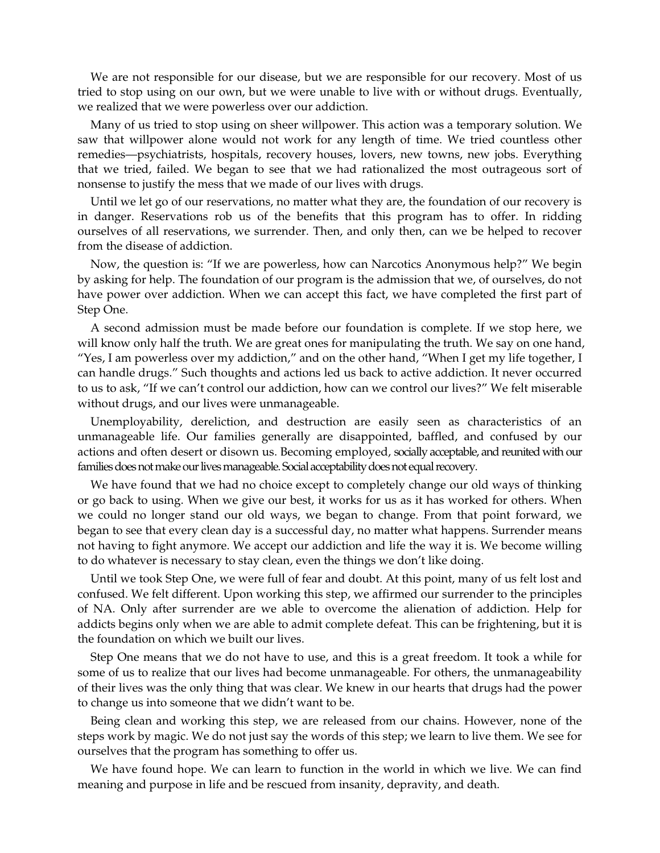We are not responsible for our disease, but we are responsible for our recovery. Most of us tried to stop using on our own, but we were unable to live with or without drugs. Eventually, we realized that we were powerless over our addiction.

Many of us tried to stop using on sheer willpower. This action was a temporary solution. We saw that willpower alone would not work for any length of time. We tried countless other remedies—psychiatrists, hospitals, recovery houses, lovers, new towns, new jobs. Everything that we tried, failed. We began to see that we had rationalized the most outrageous sort of nonsense to justify the mess that we made of our lives with drugs.

Until we let go of our reservations, no matter what they are, the foundation of our recovery is in danger. Reservations rob us of the benefits that this program has to offer. In ridding ourselves of all reservations, we surrender. Then, and only then, can we be helped to recover from the disease of addiction.

Now, the question is: "If we are powerless, how can Narcotics Anonymous help?" We begin by asking for help. The foundation of our program is the admission that we, of ourselves, do not have power over addiction. When we can accept this fact, we have completed the first part of Step One.

A second admission must be made before our foundation is complete. If we stop here, we will know only half the truth. We are great ones for manipulating the truth. We say on one hand, "Yes, I am powerless over my addiction," and on the other hand, "When I get my life together, I can handle drugs." Such thoughts and actions led us back to active addiction. It never occurred to us to ask, "If we can't control our addiction, how can we control our lives?" We felt miserable without drugs, and our lives were unmanageable.

Unemployability, dereliction, and destruction are easily seen as characteristics of an unmanageable life. Our families generally are disappointed, baffled, and confused by our actions and often desert or disown us. Becoming employed, socially acceptable, and reunited with our families does not make our lives manageable. Social acceptability does not equal recovery.

We have found that we had no choice except to completely change our old ways of thinking or go back to using. When we give our best, it works for us as it has worked for others. When we could no longer stand our old ways, we began to change. From that point forward, we began to see that every clean day is a successful day, no matter what happens. Surrender means not having to fight anymore. We accept our addiction and life the way it is. We become willing to do whatever is necessary to stay clean, even the things we don't like doing.

Until we took Step One, we were full of fear and doubt. At this point, many of us felt lost and confused. We felt different. Upon working this step, we affirmed our surrender to the principles of NA. Only after surrender are we able to overcome the alienation of addiction. Help for addicts begins only when we are able to admit complete defeat. This can be frightening, but it is the foundation on which we built our lives.

Step One means that we do not have to use, and this is a great freedom. It took a while for some of us to realize that our lives had become unmanageable. For others, the unmanageability of their lives was the only thing that was clear. We knew in our hearts that drugs had the power to change us into someone that we didn't want to be.

Being clean and working this step, we are released from our chains. However, none of the steps work by magic. We do not just say the words of this step; we learn to live them. We see for ourselves that the program has something to offer us.

We have found hope. We can learn to function in the world in which we live. We can find meaning and purpose in life and be rescued from insanity, depravity, and death.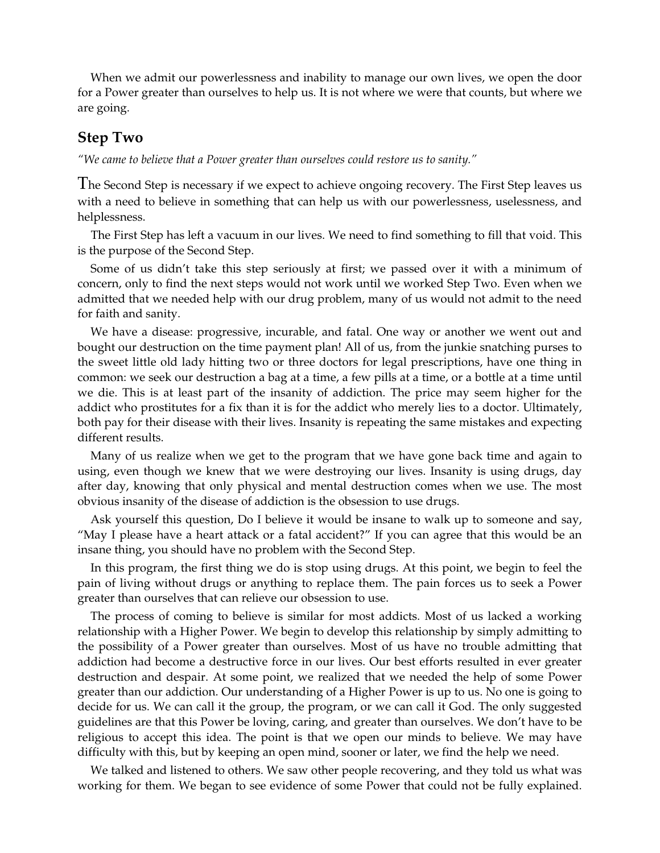When we admit our powerlessness and inability to manage our own lives, we open the door for a Power greater than ourselves to help us. It is not where we were that counts, but where we are going.

### **Step Two**

*"We came to believe that a Power greater than ourselves could restore us to sanity."* 

The Second Step is necessary if we expect to achieve ongoing recovery. The First Step leaves us with a need to believe in something that can help us with our powerlessness, uselessness, and helplessness.

The First Step has left a vacuum in our lives. We need to find something to fill that void. This is the purpose of the Second Step.

Some of us didn't take this step seriously at first; we passed over it with a minimum of concern, only to find the next steps would not work until we worked Step Two. Even when we admitted that we needed help with our drug problem, many of us would not admit to the need for faith and sanity.

We have a disease: progressive, incurable, and fatal. One way or another we went out and bought our destruction on the time payment plan! All of us, from the junkie snatching purses to the sweet little old lady hitting two or three doctors for legal prescriptions, have one thing in common: we seek our destruction a bag at a time, a few pills at a time, or a bottle at a time until we die. This is at least part of the insanity of addiction. The price may seem higher for the addict who prostitutes for a fix than it is for the addict who merely lies to a doctor. Ultimately, both pay for their disease with their lives. Insanity is repeating the same mistakes and expecting different results.

Many of us realize when we get to the program that we have gone back time and again to using, even though we knew that we were destroying our lives. Insanity is using drugs, day after day, knowing that only physical and mental destruction comes when we use. The most obvious insanity of the disease of addiction is the obsession to use drugs.

Ask yourself this question, Do I believe it would be insane to walk up to someone and say, "May I please have a heart attack or a fatal accident?" If you can agree that this would be an insane thing, you should have no problem with the Second Step.

In this program, the first thing we do is stop using drugs. At this point, we begin to feel the pain of living without drugs or anything to replace them. The pain forces us to seek a Power greater than ourselves that can relieve our obsession to use.

The process of coming to believe is similar for most addicts. Most of us lacked a working relationship with a Higher Power. We begin to develop this relationship by simply admitting to the possibility of a Power greater than ourselves. Most of us have no trouble admitting that addiction had become a destructive force in our lives. Our best efforts resulted in ever greater destruction and despair. At some point, we realized that we needed the help of some Power greater than our addiction. Our understanding of a Higher Power is up to us. No one is going to decide for us. We can call it the group, the program, or we can call it God. The only suggested guidelines are that this Power be loving, caring, and greater than ourselves. We don't have to be religious to accept this idea. The point is that we open our minds to believe. We may have difficulty with this, but by keeping an open mind, sooner or later, we find the help we need.

We talked and listened to others. We saw other people recovering, and they told us what was working for them. We began to see evidence of some Power that could not be fully explained.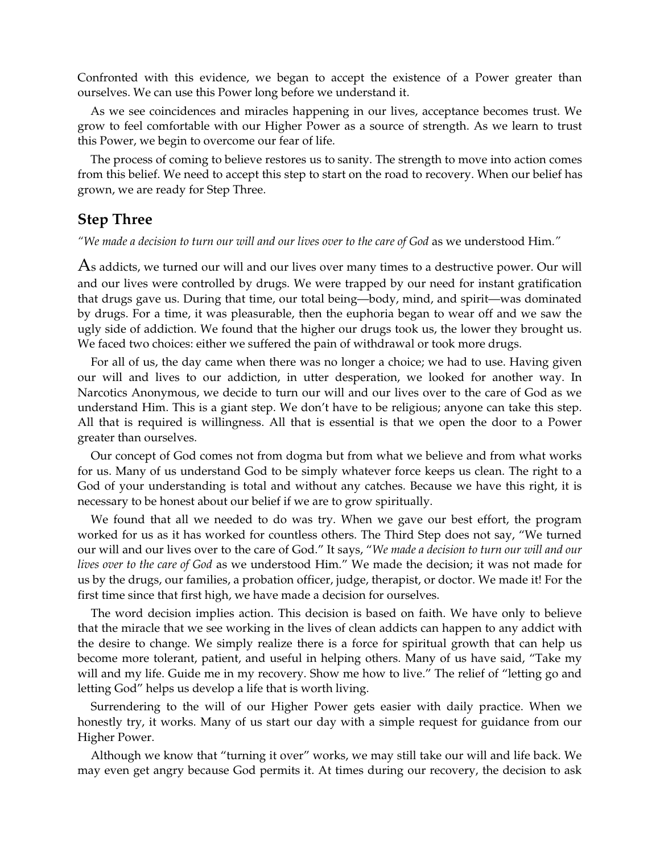Confronted with this evidence, we began to accept the existence of a Power greater than ourselves. We can use this Power long before we understand it.

As we see coincidences and miracles happening in our lives, acceptance becomes trust. We grow to feel comfortable with our Higher Power as a source of strength. As we learn to trust this Power, we begin to overcome our fear of life.

The process of coming to believe restores us to sanity. The strength to move into action comes from this belief. We need to accept this step to start on the road to recovery. When our belief has grown, we are ready for Step Three.

### **Step Three**

*"We made a decision to turn our will and our lives over to the care of God* as we understood Him.*"* 

As addicts, we turned our will and our lives over many times to a destructive power. Our will and our lives were controlled by drugs. We were trapped by our need for instant gratification that drugs gave us. During that time, our total being—body, mind, and spirit—was dominated by drugs. For a time, it was pleasurable, then the euphoria began to wear off and we saw the ugly side of addiction. We found that the higher our drugs took us, the lower they brought us. We faced two choices: either we suffered the pain of withdrawal or took more drugs.

For all of us, the day came when there was no longer a choice; we had to use. Having given our will and lives to our addiction, in utter desperation, we looked for another way. In Narcotics Anonymous, we decide to turn our will and our lives over to the care of God as we understand Him. This is a giant step. We don't have to be religious; anyone can take this step. All that is required is willingness. All that is essential is that we open the door to a Power greater than ourselves.

Our concept of God comes not from dogma but from what we believe and from what works for us. Many of us understand God to be simply whatever force keeps us clean. The right to a God of your understanding is total and without any catches. Because we have this right, it is necessary to be honest about our belief if we are to grow spiritually.

We found that all we needed to do was try. When we gave our best effort, the program worked for us as it has worked for countless others. The Third Step does not say, "We turned our will and our lives over to the care of God." It says, "*We made a decision to turn our will and our lives over to the care of God* as we understood Him." We made the decision; it was not made for us by the drugs, our families, a probation officer, judge, therapist, or doctor. We made it! For the first time since that first high, we have made a decision for ourselves.

The word decision implies action. This decision is based on faith. We have only to believe that the miracle that we see working in the lives of clean addicts can happen to any addict with the desire to change. We simply realize there is a force for spiritual growth that can help us become more tolerant, patient, and useful in helping others. Many of us have said, "Take my will and my life. Guide me in my recovery. Show me how to live." The relief of "letting go and letting God" helps us develop a life that is worth living.

Surrendering to the will of our Higher Power gets easier with daily practice. When we honestly try, it works. Many of us start our day with a simple request for guidance from our Higher Power.

Although we know that "turning it over" works, we may still take our will and life back. We may even get angry because God permits it. At times during our recovery, the decision to ask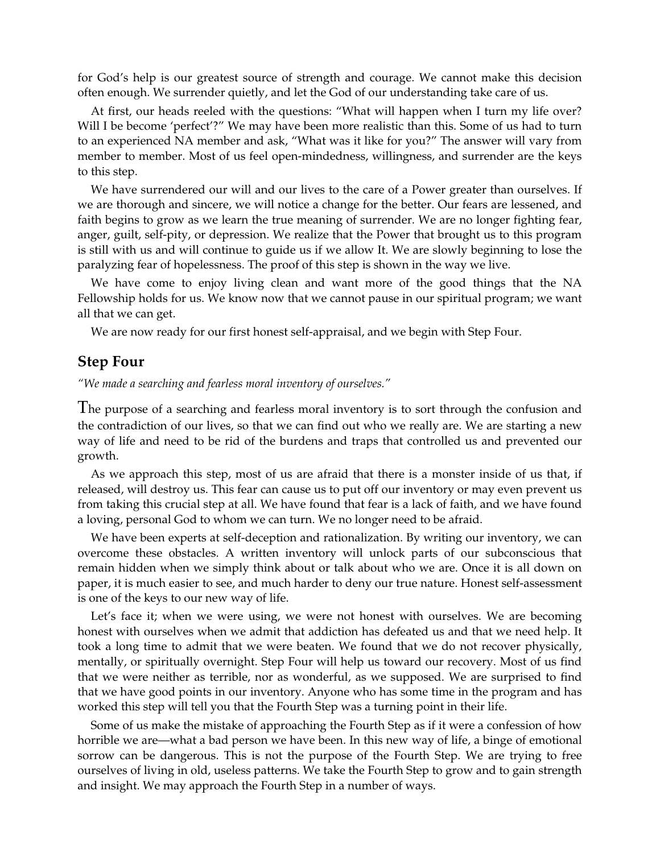for God's help is our greatest source of strength and courage. We cannot make this decision often enough. We surrender quietly, and let the God of our understanding take care of us.

At first, our heads reeled with the questions: "What will happen when I turn my life over? Will I be become 'perfect'?" We may have been more realistic than this. Some of us had to turn to an experienced NA member and ask, "What was it like for you?" The answer will vary from member to member. Most of us feel open-mindedness, willingness, and surrender are the keys to this step.

We have surrendered our will and our lives to the care of a Power greater than ourselves. If we are thorough and sincere, we will notice a change for the better. Our fears are lessened, and faith begins to grow as we learn the true meaning of surrender. We are no longer fighting fear, anger, guilt, self-pity, or depression. We realize that the Power that brought us to this program is still with us and will continue to guide us if we allow It. We are slowly beginning to lose the paralyzing fear of hopelessness. The proof of this step is shown in the way we live.

We have come to enjoy living clean and want more of the good things that the NA Fellowship holds for us. We know now that we cannot pause in our spiritual program; we want all that we can get.

We are now ready for our first honest self-appraisal, and we begin with Step Four.

#### **Step Four**

*"We made a searching and fearless moral inventory of ourselves."* 

The purpose of a searching and fearless moral inventory is to sort through the confusion and the contradiction of our lives, so that we can find out who we really are. We are starting a new way of life and need to be rid of the burdens and traps that controlled us and prevented our growth.

As we approach this step, most of us are afraid that there is a monster inside of us that, if released, will destroy us. This fear can cause us to put off our inventory or may even prevent us from taking this crucial step at all. We have found that fear is a lack of faith, and we have found a loving, personal God to whom we can turn. We no longer need to be afraid.

We have been experts at self-deception and rationalization. By writing our inventory, we can overcome these obstacles. A written inventory will unlock parts of our subconscious that remain hidden when we simply think about or talk about who we are. Once it is all down on paper, it is much easier to see, and much harder to deny our true nature. Honest self-assessment is one of the keys to our new way of life.

Let's face it; when we were using, we were not honest with ourselves. We are becoming honest with ourselves when we admit that addiction has defeated us and that we need help. It took a long time to admit that we were beaten. We found that we do not recover physically, mentally, or spiritually overnight. Step Four will help us toward our recovery. Most of us find that we were neither as terrible, nor as wonderful, as we supposed. We are surprised to find that we have good points in our inventory. Anyone who has some time in the program and has worked this step will tell you that the Fourth Step was a turning point in their life.

Some of us make the mistake of approaching the Fourth Step as if it were a confession of how horrible we are—what a bad person we have been. In this new way of life, a binge of emotional sorrow can be dangerous. This is not the purpose of the Fourth Step. We are trying to free ourselves of living in old, useless patterns. We take the Fourth Step to grow and to gain strength and insight. We may approach the Fourth Step in a number of ways.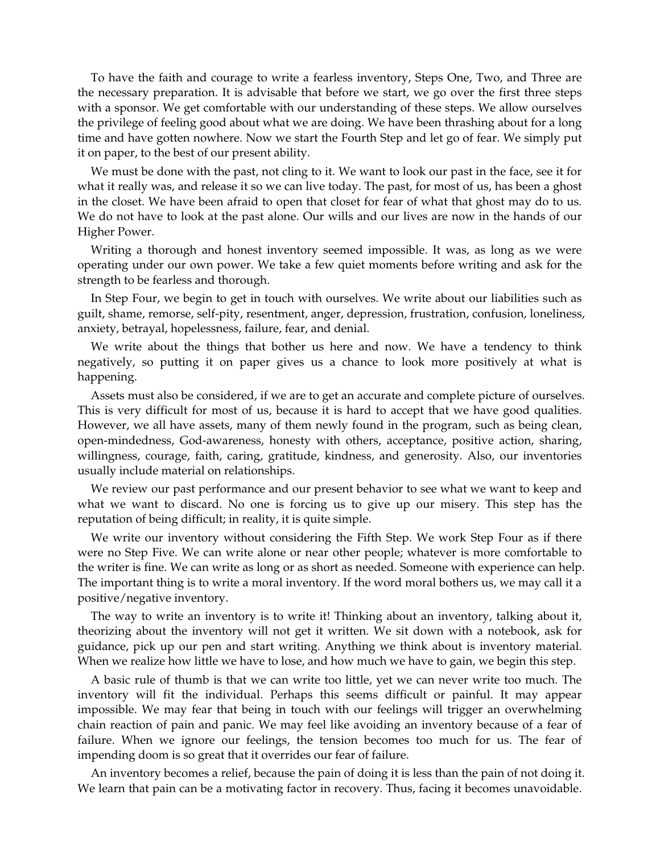To have the faith and courage to write a fearless inventory, Steps One, Two, and Three are the necessary preparation. It is advisable that before we start, we go over the first three steps with a sponsor. We get comfortable with our understanding of these steps. We allow ourselves the privilege of feeling good about what we are doing. We have been thrashing about for a long time and have gotten nowhere. Now we start the Fourth Step and let go of fear. We simply put it on paper, to the best of our present ability.

We must be done with the past, not cling to it. We want to look our past in the face, see it for what it really was, and release it so we can live today. The past, for most of us, has been a ghost in the closet. We have been afraid to open that closet for fear of what that ghost may do to us. We do not have to look at the past alone. Our wills and our lives are now in the hands of our Higher Power.

Writing a thorough and honest inventory seemed impossible. It was, as long as we were operating under our own power. We take a few quiet moments before writing and ask for the strength to be fearless and thorough.

In Step Four, we begin to get in touch with ourselves. We write about our liabilities such as guilt, shame, remorse, self-pity, resentment, anger, depression, frustration, confusion, loneliness, anxiety, betrayal, hopelessness, failure, fear, and denial.

We write about the things that bother us here and now. We have a tendency to think negatively, so putting it on paper gives us a chance to look more positively at what is happening.

Assets must also be considered, if we are to get an accurate and complete picture of ourselves. This is very difficult for most of us, because it is hard to accept that we have good qualities. However, we all have assets, many of them newly found in the program, such as being clean, open-mindedness, God-awareness, honesty with others, acceptance, positive action, sharing, willingness, courage, faith, caring, gratitude, kindness, and generosity. Also, our inventories usually include material on relationships.

We review our past performance and our present behavior to see what we want to keep and what we want to discard. No one is forcing us to give up our misery. This step has the reputation of being difficult; in reality, it is quite simple.

We write our inventory without considering the Fifth Step. We work Step Four as if there were no Step Five. We can write alone or near other people; whatever is more comfortable to the writer is fine. We can write as long or as short as needed. Someone with experience can help. The important thing is to write a moral inventory. If the word moral bothers us, we may call it a positive/negative inventory.

The way to write an inventory is to write it! Thinking about an inventory, talking about it, theorizing about the inventory will not get it written. We sit down with a notebook, ask for guidance, pick up our pen and start writing. Anything we think about is inventory material. When we realize how little we have to lose, and how much we have to gain, we begin this step.

A basic rule of thumb is that we can write too little, yet we can never write too much. The inventory will fit the individual. Perhaps this seems difficult or painful. It may appear impossible. We may fear that being in touch with our feelings will trigger an overwhelming chain reaction of pain and panic. We may feel like avoiding an inventory because of a fear of failure. When we ignore our feelings, the tension becomes too much for us. The fear of impending doom is so great that it overrides our fear of failure.

An inventory becomes a relief, because the pain of doing it is less than the pain of not doing it. We learn that pain can be a motivating factor in recovery. Thus, facing it becomes unavoidable.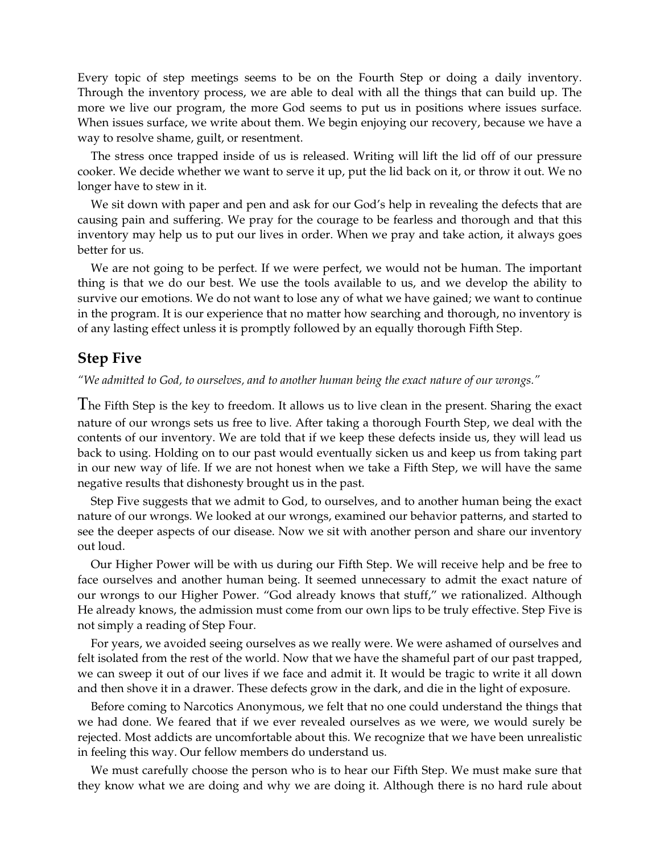Every topic of step meetings seems to be on the Fourth Step or doing a daily inventory. Through the inventory process, we are able to deal with all the things that can build up. The more we live our program, the more God seems to put us in positions where issues surface. When issues surface, we write about them. We begin enjoying our recovery, because we have a way to resolve shame, guilt, or resentment.

The stress once trapped inside of us is released. Writing will lift the lid off of our pressure cooker. We decide whether we want to serve it up, put the lid back on it, or throw it out. We no longer have to stew in it.

We sit down with paper and pen and ask for our God's help in revealing the defects that are causing pain and suffering. We pray for the courage to be fearless and thorough and that this inventory may help us to put our lives in order. When we pray and take action, it always goes better for us.

We are not going to be perfect. If we were perfect, we would not be human. The important thing is that we do our best. We use the tools available to us, and we develop the ability to survive our emotions. We do not want to lose any of what we have gained; we want to continue in the program. It is our experience that no matter how searching and thorough, no inventory is of any lasting effect unless it is promptly followed by an equally thorough Fifth Step.

### **Step Five**

*"We admitted to God, to ourselves, and to another human being the exact nature of our wrongs."* 

The Fifth Step is the key to freedom. It allows us to live clean in the present. Sharing the exact nature of our wrongs sets us free to live. After taking a thorough Fourth Step, we deal with the contents of our inventory. We are told that if we keep these defects inside us, they will lead us back to using. Holding on to our past would eventually sicken us and keep us from taking part in our new way of life. If we are not honest when we take a Fifth Step, we will have the same negative results that dishonesty brought us in the past.

Step Five suggests that we admit to God, to ourselves, and to another human being the exact nature of our wrongs. We looked at our wrongs, examined our behavior patterns, and started to see the deeper aspects of our disease. Now we sit with another person and share our inventory out loud.

Our Higher Power will be with us during our Fifth Step. We will receive help and be free to face ourselves and another human being. It seemed unnecessary to admit the exact nature of our wrongs to our Higher Power. "God already knows that stuff," we rationalized. Although He already knows, the admission must come from our own lips to be truly effective. Step Five is not simply a reading of Step Four.

For years, we avoided seeing ourselves as we really were. We were ashamed of ourselves and felt isolated from the rest of the world. Now that we have the shameful part of our past trapped, we can sweep it out of our lives if we face and admit it. It would be tragic to write it all down and then shove it in a drawer. These defects grow in the dark, and die in the light of exposure.

Before coming to Narcotics Anonymous, we felt that no one could understand the things that we had done. We feared that if we ever revealed ourselves as we were, we would surely be rejected. Most addicts are uncomfortable about this. We recognize that we have been unrealistic in feeling this way. Our fellow members do understand us.

We must carefully choose the person who is to hear our Fifth Step. We must make sure that they know what we are doing and why we are doing it. Although there is no hard rule about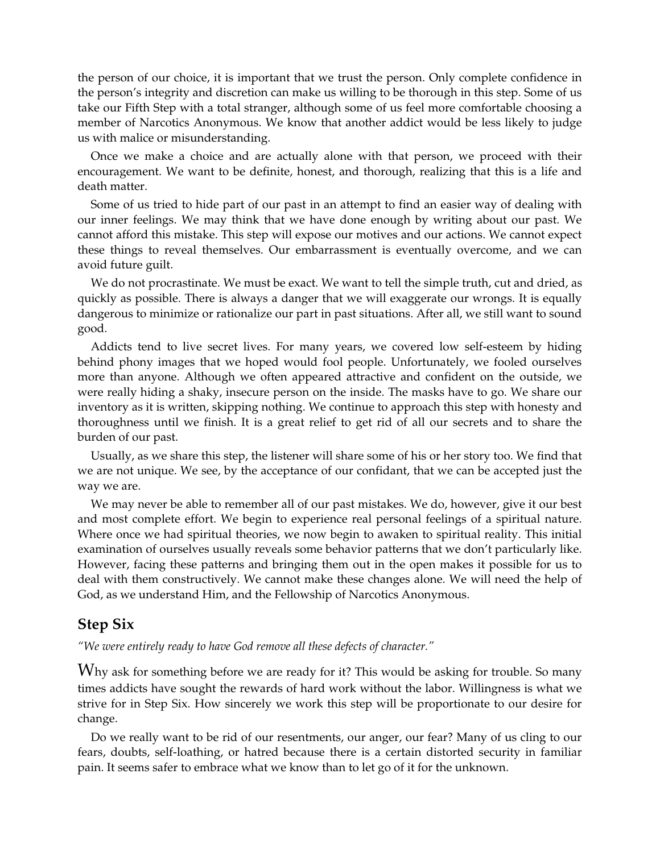the person of our choice, it is important that we trust the person. Only complete confidence in the person's integrity and discretion can make us willing to be thorough in this step. Some of us take our Fifth Step with a total stranger, although some of us feel more comfortable choosing a member of Narcotics Anonymous. We know that another addict would be less likely to judge us with malice or misunderstanding.

Once we make a choice and are actually alone with that person, we proceed with their encouragement. We want to be definite, honest, and thorough, realizing that this is a life and death matter.

Some of us tried to hide part of our past in an attempt to find an easier way of dealing with our inner feelings. We may think that we have done enough by writing about our past. We cannot afford this mistake. This step will expose our motives and our actions. We cannot expect these things to reveal themselves. Our embarrassment is eventually overcome, and we can avoid future guilt.

We do not procrastinate. We must be exact. We want to tell the simple truth, cut and dried, as quickly as possible. There is always a danger that we will exaggerate our wrongs. It is equally dangerous to minimize or rationalize our part in past situations. After all, we still want to sound good.

Addicts tend to live secret lives. For many years, we covered low self-esteem by hiding behind phony images that we hoped would fool people. Unfortunately, we fooled ourselves more than anyone. Although we often appeared attractive and confident on the outside, we were really hiding a shaky, insecure person on the inside. The masks have to go. We share our inventory as it is written, skipping nothing. We continue to approach this step with honesty and thoroughness until we finish. It is a great relief to get rid of all our secrets and to share the burden of our past.

Usually, as we share this step, the listener will share some of his or her story too. We find that we are not unique. We see, by the acceptance of our confidant, that we can be accepted just the way we are.

We may never be able to remember all of our past mistakes. We do, however, give it our best and most complete effort. We begin to experience real personal feelings of a spiritual nature. Where once we had spiritual theories, we now begin to awaken to spiritual reality. This initial examination of ourselves usually reveals some behavior patterns that we don't particularly like. However, facing these patterns and bringing them out in the open makes it possible for us to deal with them constructively. We cannot make these changes alone. We will need the help of God, as we understand Him, and the Fellowship of Narcotics Anonymous.

## **Step Six**

*"We were entirely ready to have God remove all these defects of character."* 

Why ask for something before we are ready for it? This would be asking for trouble. So many times addicts have sought the rewards of hard work without the labor. Willingness is what we strive for in Step Six. How sincerely we work this step will be proportionate to our desire for change.

Do we really want to be rid of our resentments, our anger, our fear? Many of us cling to our fears, doubts, self-loathing, or hatred because there is a certain distorted security in familiar pain. It seems safer to embrace what we know than to let go of it for the unknown.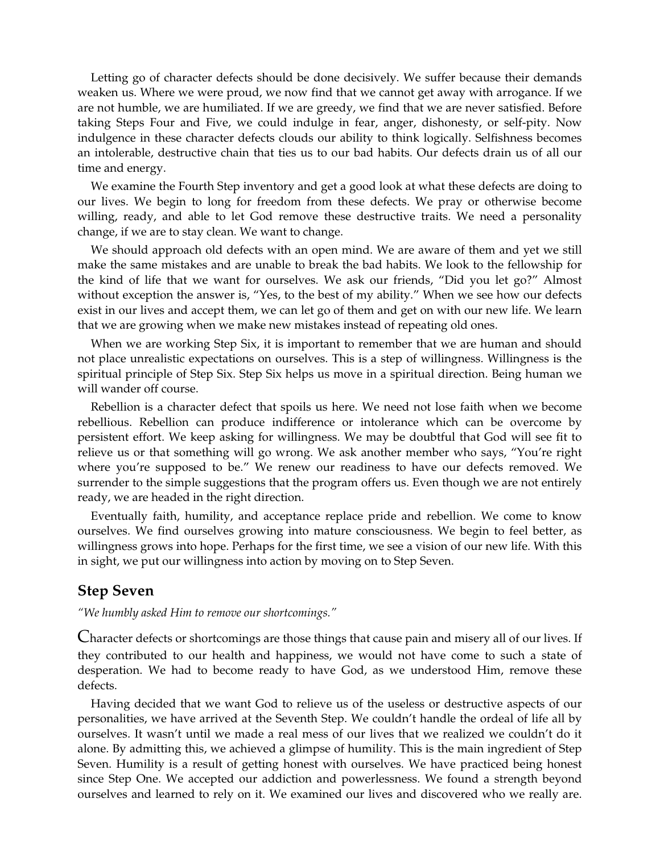Letting go of character defects should be done decisively. We suffer because their demands weaken us. Where we were proud, we now find that we cannot get away with arrogance. If we are not humble, we are humiliated. If we are greedy, we find that we are never satisfied. Before taking Steps Four and Five, we could indulge in fear, anger, dishonesty, or self-pity. Now indulgence in these character defects clouds our ability to think logically. Selfishness becomes an intolerable, destructive chain that ties us to our bad habits. Our defects drain us of all our time and energy.

We examine the Fourth Step inventory and get a good look at what these defects are doing to our lives. We begin to long for freedom from these defects. We pray or otherwise become willing, ready, and able to let God remove these destructive traits. We need a personality change, if we are to stay clean. We want to change.

We should approach old defects with an open mind. We are aware of them and yet we still make the same mistakes and are unable to break the bad habits. We look to the fellowship for the kind of life that we want for ourselves. We ask our friends, "Did you let go?" Almost without exception the answer is, "Yes, to the best of my ability." When we see how our defects exist in our lives and accept them, we can let go of them and get on with our new life. We learn that we are growing when we make new mistakes instead of repeating old ones.

When we are working Step Six, it is important to remember that we are human and should not place unrealistic expectations on ourselves. This is a step of willingness. Willingness is the spiritual principle of Step Six. Step Six helps us move in a spiritual direction. Being human we will wander off course.

Rebellion is a character defect that spoils us here. We need not lose faith when we become rebellious. Rebellion can produce indifference or intolerance which can be overcome by persistent effort. We keep asking for willingness. We may be doubtful that God will see fit to relieve us or that something will go wrong. We ask another member who says, "You're right where you're supposed to be." We renew our readiness to have our defects removed. We surrender to the simple suggestions that the program offers us. Even though we are not entirely ready, we are headed in the right direction.

Eventually faith, humility, and acceptance replace pride and rebellion. We come to know ourselves. We find ourselves growing into mature consciousness. We begin to feel better, as willingness grows into hope. Perhaps for the first time, we see a vision of our new life. With this in sight, we put our willingness into action by moving on to Step Seven.

### **Step Seven**

#### *"We humbly asked Him to remove our shortcomings."*

Character defects or shortcomings are those things that cause pain and misery all of our lives. If they contributed to our health and happiness, we would not have come to such a state of desperation. We had to become ready to have God, as we understood Him, remove these defects.

Having decided that we want God to relieve us of the useless or destructive aspects of our personalities, we have arrived at the Seventh Step. We couldn't handle the ordeal of life all by ourselves. It wasn't until we made a real mess of our lives that we realized we couldn't do it alone. By admitting this, we achieved a glimpse of humility. This is the main ingredient of Step Seven. Humility is a result of getting honest with ourselves. We have practiced being honest since Step One. We accepted our addiction and powerlessness. We found a strength beyond ourselves and learned to rely on it. We examined our lives and discovered who we really are.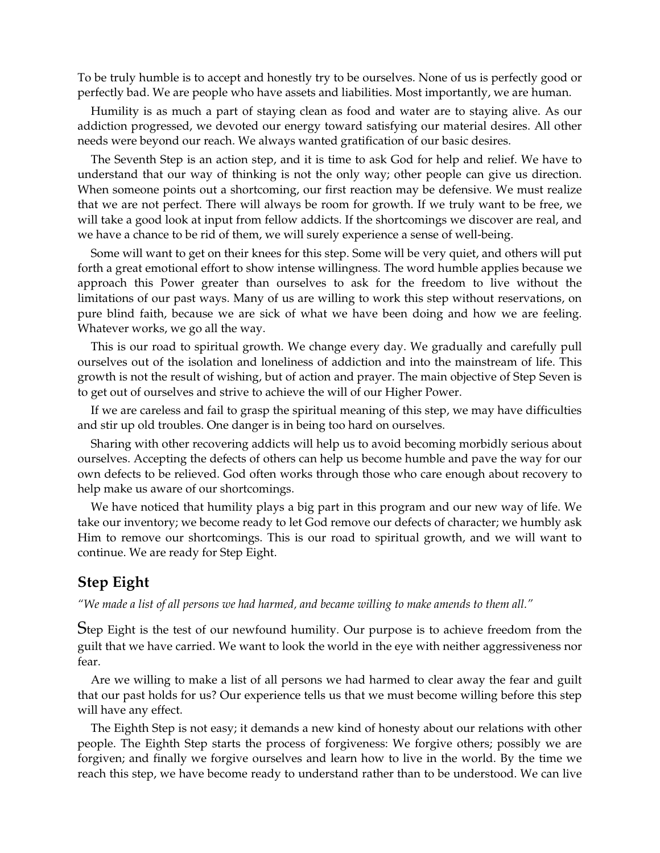To be truly humble is to accept and honestly try to be ourselves. None of us is perfectly good or perfectly bad. We are people who have assets and liabilities. Most importantly, we are human.

Humility is as much a part of staying clean as food and water are to staying alive. As our addiction progressed, we devoted our energy toward satisfying our material desires. All other needs were beyond our reach. We always wanted gratification of our basic desires.

The Seventh Step is an action step, and it is time to ask God for help and relief. We have to understand that our way of thinking is not the only way; other people can give us direction. When someone points out a shortcoming, our first reaction may be defensive. We must realize that we are not perfect. There will always be room for growth. If we truly want to be free, we will take a good look at input from fellow addicts. If the shortcomings we discover are real, and we have a chance to be rid of them, we will surely experience a sense of well-being.

Some will want to get on their knees for this step. Some will be very quiet, and others will put forth a great emotional effort to show intense willingness. The word humble applies because we approach this Power greater than ourselves to ask for the freedom to live without the limitations of our past ways. Many of us are willing to work this step without reservations, on pure blind faith, because we are sick of what we have been doing and how we are feeling. Whatever works, we go all the way.

This is our road to spiritual growth. We change every day. We gradually and carefully pull ourselves out of the isolation and loneliness of addiction and into the mainstream of life. This growth is not the result of wishing, but of action and prayer. The main objective of Step Seven is to get out of ourselves and strive to achieve the will of our Higher Power.

If we are careless and fail to grasp the spiritual meaning of this step, we may have difficulties and stir up old troubles. One danger is in being too hard on ourselves.

Sharing with other recovering addicts will help us to avoid becoming morbidly serious about ourselves. Accepting the defects of others can help us become humble and pave the way for our own defects to be relieved. God often works through those who care enough about recovery to help make us aware of our shortcomings.

We have noticed that humility plays a big part in this program and our new way of life. We take our inventory; we become ready to let God remove our defects of character; we humbly ask Him to remove our shortcomings. This is our road to spiritual growth, and we will want to continue. We are ready for Step Eight.

### **Step Eight**

*"We made a list of all persons we had harmed, and became willing to make amends to them all."* 

Step Eight is the test of our newfound humility. Our purpose is to achieve freedom from the guilt that we have carried. We want to look the world in the eye with neither aggressiveness nor fear.

Are we willing to make a list of all persons we had harmed to clear away the fear and guilt that our past holds for us? Our experience tells us that we must become willing before this step will have any effect.

The Eighth Step is not easy; it demands a new kind of honesty about our relations with other people. The Eighth Step starts the process of forgiveness: We forgive others; possibly we are forgiven; and finally we forgive ourselves and learn how to live in the world. By the time we reach this step, we have become ready to understand rather than to be understood. We can live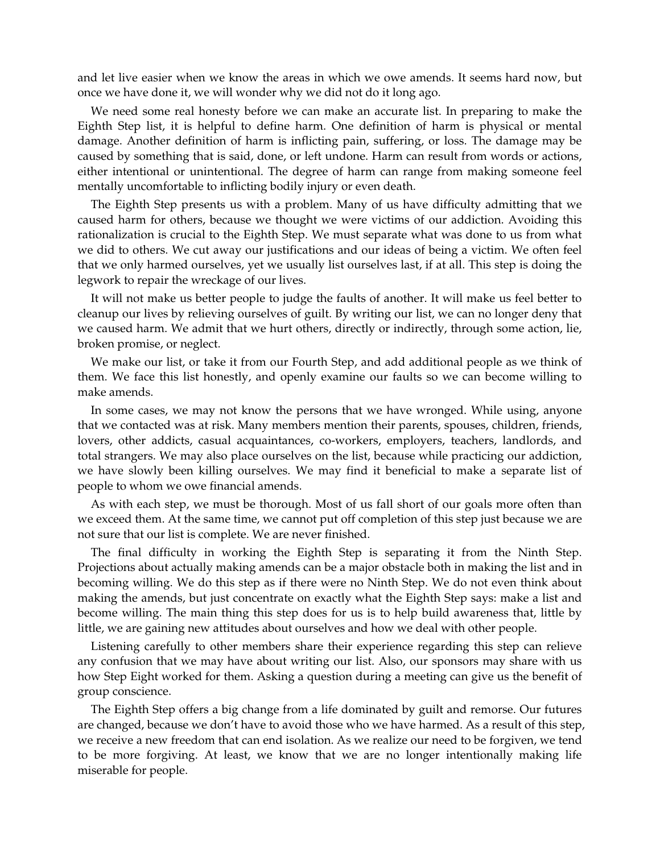and let live easier when we know the areas in which we owe amends. It seems hard now, but once we have done it, we will wonder why we did not do it long ago.

We need some real honesty before we can make an accurate list. In preparing to make the Eighth Step list, it is helpful to define harm. One definition of harm is physical or mental damage. Another definition of harm is inflicting pain, suffering, or loss. The damage may be caused by something that is said, done, or left undone. Harm can result from words or actions, either intentional or unintentional. The degree of harm can range from making someone feel mentally uncomfortable to inflicting bodily injury or even death.

The Eighth Step presents us with a problem. Many of us have difficulty admitting that we caused harm for others, because we thought we were victims of our addiction. Avoiding this rationalization is crucial to the Eighth Step. We must separate what was done to us from what we did to others. We cut away our justifications and our ideas of being a victim. We often feel that we only harmed ourselves, yet we usually list ourselves last, if at all. This step is doing the legwork to repair the wreckage of our lives.

It will not make us better people to judge the faults of another. It will make us feel better to cleanup our lives by relieving ourselves of guilt. By writing our list, we can no longer deny that we caused harm. We admit that we hurt others, directly or indirectly, through some action, lie, broken promise, or neglect.

We make our list, or take it from our Fourth Step, and add additional people as we think of them. We face this list honestly, and openly examine our faults so we can become willing to make amends.

In some cases, we may not know the persons that we have wronged. While using, anyone that we contacted was at risk. Many members mention their parents, spouses, children, friends, lovers, other addicts, casual acquaintances, co-workers, employers, teachers, landlords, and total strangers. We may also place ourselves on the list, because while practicing our addiction, we have slowly been killing ourselves. We may find it beneficial to make a separate list of people to whom we owe financial amends.

As with each step, we must be thorough. Most of us fall short of our goals more often than we exceed them. At the same time, we cannot put off completion of this step just because we are not sure that our list is complete. We are never finished.

The final difficulty in working the Eighth Step is separating it from the Ninth Step. Projections about actually making amends can be a major obstacle both in making the list and in becoming willing. We do this step as if there were no Ninth Step. We do not even think about making the amends, but just concentrate on exactly what the Eighth Step says: make a list and become willing. The main thing this step does for us is to help build awareness that, little by little, we are gaining new attitudes about ourselves and how we deal with other people.

Listening carefully to other members share their experience regarding this step can relieve any confusion that we may have about writing our list. Also, our sponsors may share with us how Step Eight worked for them. Asking a question during a meeting can give us the benefit of group conscience.

The Eighth Step offers a big change from a life dominated by guilt and remorse. Our futures are changed, because we don't have to avoid those who we have harmed. As a result of this step, we receive a new freedom that can end isolation. As we realize our need to be forgiven, we tend to be more forgiving. At least, we know that we are no longer intentionally making life miserable for people.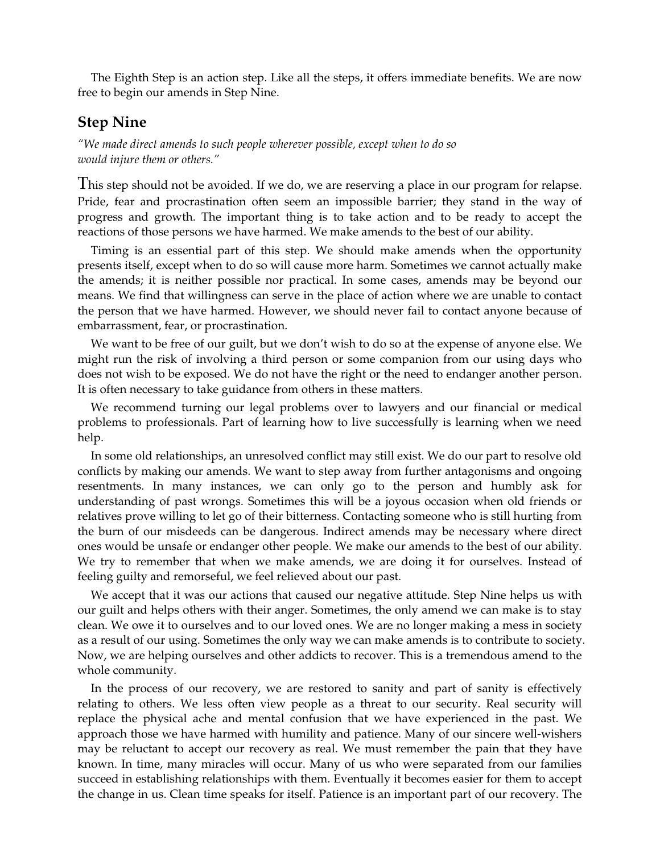The Eighth Step is an action step. Like all the steps, it offers immediate benefits. We are now free to begin our amends in Step Nine.

#### **Step Nine**

*"We made direct amends to such people wherever possible, except when to do so would injure them or others."* 

This step should not be avoided. If we do, we are reserving a place in our program for relapse. Pride, fear and procrastination often seem an impossible barrier; they stand in the way of progress and growth. The important thing is to take action and to be ready to accept the reactions of those persons we have harmed. We make amends to the best of our ability.

Timing is an essential part of this step. We should make amends when the opportunity presents itself, except when to do so will cause more harm. Sometimes we cannot actually make the amends; it is neither possible nor practical. In some cases, amends may be beyond our means. We find that willingness can serve in the place of action where we are unable to contact the person that we have harmed. However, we should never fail to contact anyone because of embarrassment, fear, or procrastination.

We want to be free of our guilt, but we don't wish to do so at the expense of anyone else. We might run the risk of involving a third person or some companion from our using days who does not wish to be exposed. We do not have the right or the need to endanger another person. It is often necessary to take guidance from others in these matters.

We recommend turning our legal problems over to lawyers and our financial or medical problems to professionals. Part of learning how to live successfully is learning when we need help.

In some old relationships, an unresolved conflict may still exist. We do our part to resolve old conflicts by making our amends. We want to step away from further antagonisms and ongoing resentments. In many instances, we can only go to the person and humbly ask for understanding of past wrongs. Sometimes this will be a joyous occasion when old friends or relatives prove willing to let go of their bitterness. Contacting someone who is still hurting from the burn of our misdeeds can be dangerous. Indirect amends may be necessary where direct ones would be unsafe or endanger other people. We make our amends to the best of our ability. We try to remember that when we make amends, we are doing it for ourselves. Instead of feeling guilty and remorseful, we feel relieved about our past.

We accept that it was our actions that caused our negative attitude. Step Nine helps us with our guilt and helps others with their anger. Sometimes, the only amend we can make is to stay clean. We owe it to ourselves and to our loved ones. We are no longer making a mess in society as a result of our using. Sometimes the only way we can make amends is to contribute to society. Now, we are helping ourselves and other addicts to recover. This is a tremendous amend to the whole community.

In the process of our recovery, we are restored to sanity and part of sanity is effectively relating to others. We less often view people as a threat to our security. Real security will replace the physical ache and mental confusion that we have experienced in the past. We approach those we have harmed with humility and patience. Many of our sincere well-wishers may be reluctant to accept our recovery as real. We must remember the pain that they have known. In time, many miracles will occur. Many of us who were separated from our families succeed in establishing relationships with them. Eventually it becomes easier for them to accept the change in us. Clean time speaks for itself. Patience is an important part of our recovery. The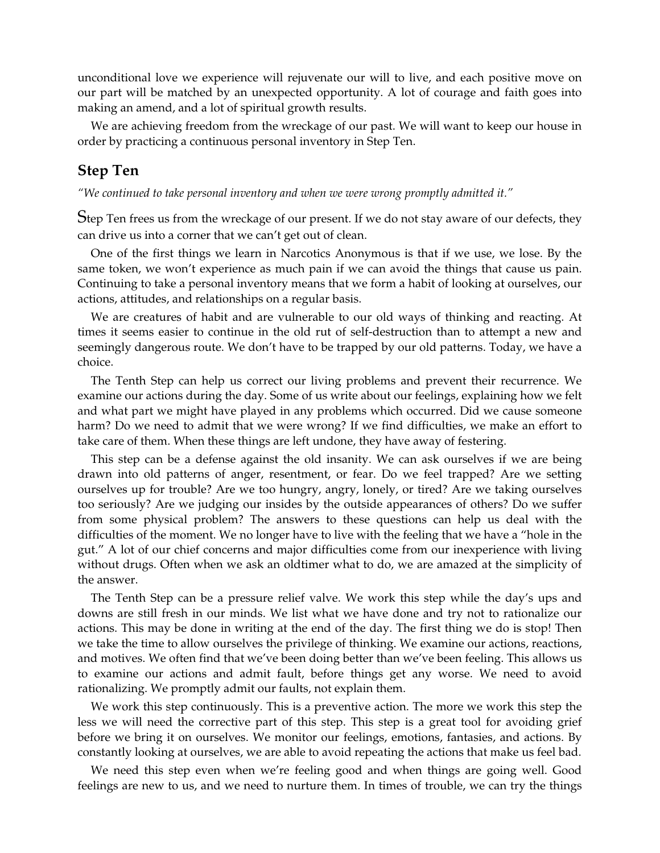unconditional love we experience will rejuvenate our will to live, and each positive move on our part will be matched by an unexpected opportunity. A lot of courage and faith goes into making an amend, and a lot of spiritual growth results.

We are achieving freedom from the wreckage of our past. We will want to keep our house in order by practicing a continuous personal inventory in Step Ten.

### **Step Ten**

*"We continued to take personal inventory and when we were wrong promptly admitted it."* 

Step Ten frees us from the wreckage of our present. If we do not stay aware of our defects, they can drive us into a corner that we can't get out of clean.

One of the first things we learn in Narcotics Anonymous is that if we use, we lose. By the same token, we won't experience as much pain if we can avoid the things that cause us pain. Continuing to take a personal inventory means that we form a habit of looking at ourselves, our actions, attitudes, and relationships on a regular basis.

We are creatures of habit and are vulnerable to our old ways of thinking and reacting. At times it seems easier to continue in the old rut of self-destruction than to attempt a new and seemingly dangerous route. We don't have to be trapped by our old patterns. Today, we have a choice.

The Tenth Step can help us correct our living problems and prevent their recurrence. We examine our actions during the day. Some of us write about our feelings, explaining how we felt and what part we might have played in any problems which occurred. Did we cause someone harm? Do we need to admit that we were wrong? If we find difficulties, we make an effort to take care of them. When these things are left undone, they have away of festering.

This step can be a defense against the old insanity. We can ask ourselves if we are being drawn into old patterns of anger, resentment, or fear. Do we feel trapped? Are we setting ourselves up for trouble? Are we too hungry, angry, lonely, or tired? Are we taking ourselves too seriously? Are we judging our insides by the outside appearances of others? Do we suffer from some physical problem? The answers to these questions can help us deal with the difficulties of the moment. We no longer have to live with the feeling that we have a "hole in the gut." A lot of our chief concerns and major difficulties come from our inexperience with living without drugs. Often when we ask an oldtimer what to do, we are amazed at the simplicity of the answer.

The Tenth Step can be a pressure relief valve. We work this step while the day's ups and downs are still fresh in our minds. We list what we have done and try not to rationalize our actions. This may be done in writing at the end of the day. The first thing we do is stop! Then we take the time to allow ourselves the privilege of thinking. We examine our actions, reactions, and motives. We often find that we've been doing better than we've been feeling. This allows us to examine our actions and admit fault, before things get any worse. We need to avoid rationalizing. We promptly admit our faults, not explain them.

We work this step continuously. This is a preventive action. The more we work this step the less we will need the corrective part of this step. This step is a great tool for avoiding grief before we bring it on ourselves. We monitor our feelings, emotions, fantasies, and actions. By constantly looking at ourselves, we are able to avoid repeating the actions that make us feel bad.

We need this step even when we're feeling good and when things are going well. Good feelings are new to us, and we need to nurture them. In times of trouble, we can try the things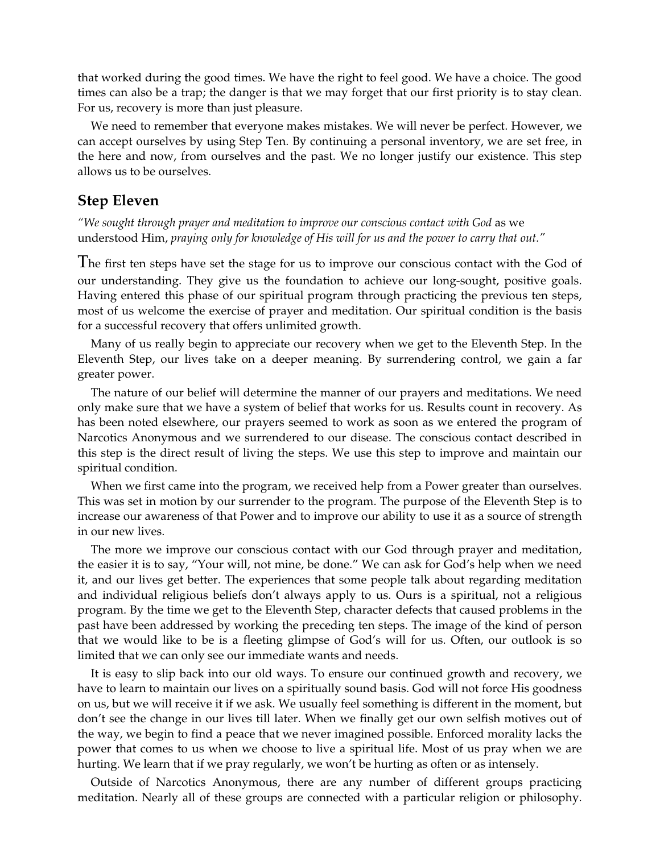that worked during the good times. We have the right to feel good. We have a choice. The good times can also be a trap; the danger is that we may forget that our first priority is to stay clean. For us, recovery is more than just pleasure.

We need to remember that everyone makes mistakes. We will never be perfect. However, we can accept ourselves by using Step Ten. By continuing a personal inventory, we are set free, in the here and now, from ourselves and the past. We no longer justify our existence. This step allows us to be ourselves.

### **Step Eleven**

*"We sought through prayer and meditation to improve our conscious contact with God* as we understood Him, *praying only for knowledge of His will for us and the power to carry that out."* 

The first ten steps have set the stage for us to improve our conscious contact with the God of our understanding. They give us the foundation to achieve our long-sought, positive goals. Having entered this phase of our spiritual program through practicing the previous ten steps, most of us welcome the exercise of prayer and meditation. Our spiritual condition is the basis for a successful recovery that offers unlimited growth.

Many of us really begin to appreciate our recovery when we get to the Eleventh Step. In the Eleventh Step, our lives take on a deeper meaning. By surrendering control, we gain a far greater power.

The nature of our belief will determine the manner of our prayers and meditations. We need only make sure that we have a system of belief that works for us. Results count in recovery. As has been noted elsewhere, our prayers seemed to work as soon as we entered the program of Narcotics Anonymous and we surrendered to our disease. The conscious contact described in this step is the direct result of living the steps. We use this step to improve and maintain our spiritual condition.

When we first came into the program, we received help from a Power greater than ourselves. This was set in motion by our surrender to the program. The purpose of the Eleventh Step is to increase our awareness of that Power and to improve our ability to use it as a source of strength in our new lives.

The more we improve our conscious contact with our God through prayer and meditation, the easier it is to say, "Your will, not mine, be done." We can ask for God's help when we need it, and our lives get better. The experiences that some people talk about regarding meditation and individual religious beliefs don't always apply to us. Ours is a spiritual, not a religious program. By the time we get to the Eleventh Step, character defects that caused problems in the past have been addressed by working the preceding ten steps. The image of the kind of person that we would like to be is a fleeting glimpse of God's will for us. Often, our outlook is so limited that we can only see our immediate wants and needs.

It is easy to slip back into our old ways. To ensure our continued growth and recovery, we have to learn to maintain our lives on a spiritually sound basis. God will not force His goodness on us, but we will receive it if we ask. We usually feel something is different in the moment, but don't see the change in our lives till later. When we finally get our own selfish motives out of the way, we begin to find a peace that we never imagined possible. Enforced morality lacks the power that comes to us when we choose to live a spiritual life. Most of us pray when we are hurting. We learn that if we pray regularly, we won't be hurting as often or as intensely.

Outside of Narcotics Anonymous, there are any number of different groups practicing meditation. Nearly all of these groups are connected with a particular religion or philosophy.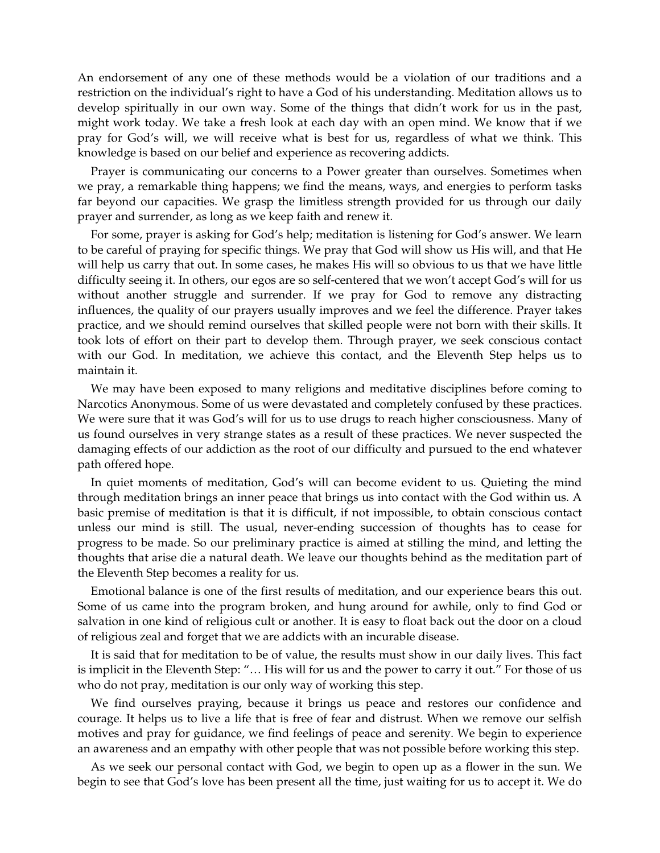An endorsement of any one of these methods would be a violation of our traditions and a restriction on the individual's right to have a God of his understanding. Meditation allows us to develop spiritually in our own way. Some of the things that didn't work for us in the past, might work today. We take a fresh look at each day with an open mind. We know that if we pray for God's will, we will receive what is best for us, regardless of what we think. This knowledge is based on our belief and experience as recovering addicts.

Prayer is communicating our concerns to a Power greater than ourselves. Sometimes when we pray, a remarkable thing happens; we find the means, ways, and energies to perform tasks far beyond our capacities. We grasp the limitless strength provided for us through our daily prayer and surrender, as long as we keep faith and renew it.

For some, prayer is asking for God's help; meditation is listening for God's answer. We learn to be careful of praying for specific things. We pray that God will show us His will, and that He will help us carry that out. In some cases, he makes His will so obvious to us that we have little difficulty seeing it. In others, our egos are so self-centered that we won't accept God's will for us without another struggle and surrender. If we pray for God to remove any distracting influences, the quality of our prayers usually improves and we feel the difference. Prayer takes practice, and we should remind ourselves that skilled people were not born with their skills. It took lots of effort on their part to develop them. Through prayer, we seek conscious contact with our God. In meditation, we achieve this contact, and the Eleventh Step helps us to maintain it.

We may have been exposed to many religions and meditative disciplines before coming to Narcotics Anonymous. Some of us were devastated and completely confused by these practices. We were sure that it was God's will for us to use drugs to reach higher consciousness. Many of us found ourselves in very strange states as a result of these practices. We never suspected the damaging effects of our addiction as the root of our difficulty and pursued to the end whatever path offered hope.

In quiet moments of meditation, God's will can become evident to us. Quieting the mind through meditation brings an inner peace that brings us into contact with the God within us. A basic premise of meditation is that it is difficult, if not impossible, to obtain conscious contact unless our mind is still. The usual, never-ending succession of thoughts has to cease for progress to be made. So our preliminary practice is aimed at stilling the mind, and letting the thoughts that arise die a natural death. We leave our thoughts behind as the meditation part of the Eleventh Step becomes a reality for us.

Emotional balance is one of the first results of meditation, and our experience bears this out. Some of us came into the program broken, and hung around for awhile, only to find God or salvation in one kind of religious cult or another. It is easy to float back out the door on a cloud of religious zeal and forget that we are addicts with an incurable disease.

It is said that for meditation to be of value, the results must show in our daily lives. This fact is implicit in the Eleventh Step: "… His will for us and the power to carry it out." For those of us who do not pray, meditation is our only way of working this step.

We find ourselves praying, because it brings us peace and restores our confidence and courage. It helps us to live a life that is free of fear and distrust. When we remove our selfish motives and pray for guidance, we find feelings of peace and serenity. We begin to experience an awareness and an empathy with other people that was not possible before working this step.

As we seek our personal contact with God, we begin to open up as a flower in the sun. We begin to see that God's love has been present all the time, just waiting for us to accept it. We do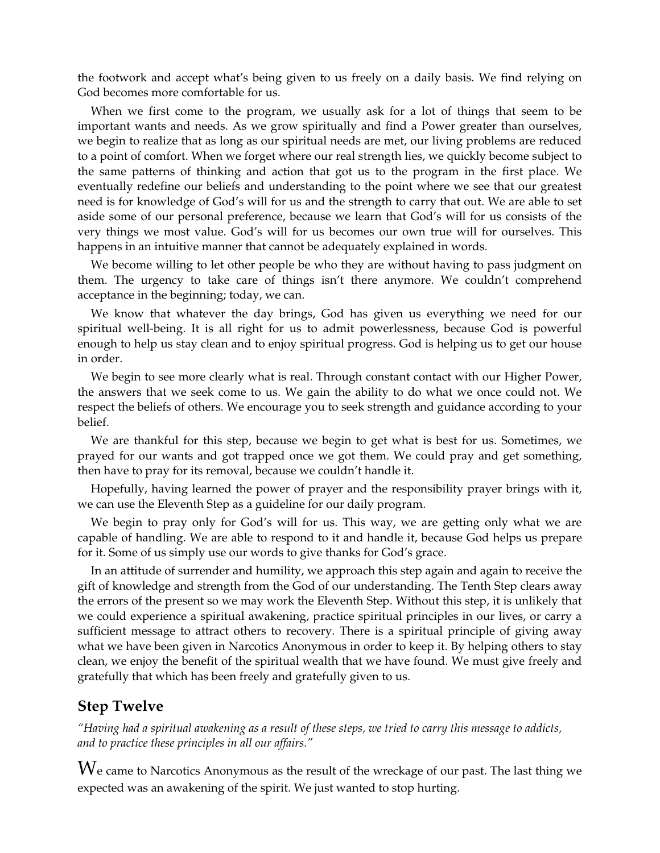the footwork and accept what's being given to us freely on a daily basis. We find relying on God becomes more comfortable for us.

When we first come to the program, we usually ask for a lot of things that seem to be important wants and needs. As we grow spiritually and find a Power greater than ourselves, we begin to realize that as long as our spiritual needs are met, our living problems are reduced to a point of comfort. When we forget where our real strength lies, we quickly become subject to the same patterns of thinking and action that got us to the program in the first place. We eventually redefine our beliefs and understanding to the point where we see that our greatest need is for knowledge of God's will for us and the strength to carry that out. We are able to set aside some of our personal preference, because we learn that God's will for us consists of the very things we most value. God's will for us becomes our own true will for ourselves. This happens in an intuitive manner that cannot be adequately explained in words.

We become willing to let other people be who they are without having to pass judgment on them. The urgency to take care of things isn't there anymore. We couldn't comprehend acceptance in the beginning; today, we can.

We know that whatever the day brings, God has given us everything we need for our spiritual well-being. It is all right for us to admit powerlessness, because God is powerful enough to help us stay clean and to enjoy spiritual progress. God is helping us to get our house in order.

We begin to see more clearly what is real. Through constant contact with our Higher Power, the answers that we seek come to us. We gain the ability to do what we once could not. We respect the beliefs of others. We encourage you to seek strength and guidance according to your belief.

We are thankful for this step, because we begin to get what is best for us. Sometimes, we prayed for our wants and got trapped once we got them. We could pray and get something, then have to pray for its removal, because we couldn't handle it.

Hopefully, having learned the power of prayer and the responsibility prayer brings with it, we can use the Eleventh Step as a guideline for our daily program.

We begin to pray only for God's will for us. This way, we are getting only what we are capable of handling. We are able to respond to it and handle it, because God helps us prepare for it. Some of us simply use our words to give thanks for God's grace.

In an attitude of surrender and humility, we approach this step again and again to receive the gift of knowledge and strength from the God of our understanding. The Tenth Step clears away the errors of the present so we may work the Eleventh Step. Without this step, it is unlikely that we could experience a spiritual awakening, practice spiritual principles in our lives, or carry a sufficient message to attract others to recovery. There is a spiritual principle of giving away what we have been given in Narcotics Anonymous in order to keep it. By helping others to stay clean, we enjoy the benefit of the spiritual wealth that we have found. We must give freely and gratefully that which has been freely and gratefully given to us.

### **Step Twelve**

*"Having had a spiritual awakening as a result of these steps, we tried to carry this message to addicts, and to practice these principles in all our affairs."* 

We came to Narcotics Anonymous as the result of the wreckage of our past. The last thing we expected was an awakening of the spirit. We just wanted to stop hurting.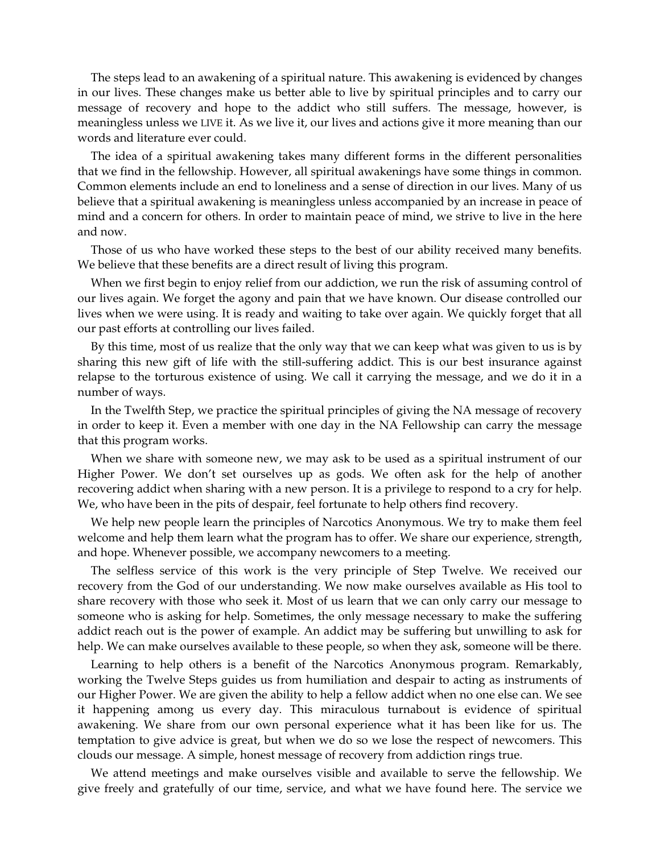The steps lead to an awakening of a spiritual nature. This awakening is evidenced by changes in our lives. These changes make us better able to live by spiritual principles and to carry our message of recovery and hope to the addict who still suffers. The message, however, is meaningless unless we LIVE it. As we live it, our lives and actions give it more meaning than our words and literature ever could.

The idea of a spiritual awakening takes many different forms in the different personalities that we find in the fellowship. However, all spiritual awakenings have some things in common. Common elements include an end to loneliness and a sense of direction in our lives. Many of us believe that a spiritual awakening is meaningless unless accompanied by an increase in peace of mind and a concern for others. In order to maintain peace of mind, we strive to live in the here and now.

Those of us who have worked these steps to the best of our ability received many benefits. We believe that these benefits are a direct result of living this program.

When we first begin to enjoy relief from our addiction, we run the risk of assuming control of our lives again. We forget the agony and pain that we have known. Our disease controlled our lives when we were using. It is ready and waiting to take over again. We quickly forget that all our past efforts at controlling our lives failed.

By this time, most of us realize that the only way that we can keep what was given to us is by sharing this new gift of life with the still-suffering addict. This is our best insurance against relapse to the torturous existence of using. We call it carrying the message, and we do it in a number of ways.

In the Twelfth Step, we practice the spiritual principles of giving the NA message of recovery in order to keep it. Even a member with one day in the NA Fellowship can carry the message that this program works.

When we share with someone new, we may ask to be used as a spiritual instrument of our Higher Power. We don't set ourselves up as gods. We often ask for the help of another recovering addict when sharing with a new person. It is a privilege to respond to a cry for help. We, who have been in the pits of despair, feel fortunate to help others find recovery.

We help new people learn the principles of Narcotics Anonymous. We try to make them feel welcome and help them learn what the program has to offer. We share our experience, strength, and hope. Whenever possible, we accompany newcomers to a meeting.

The selfless service of this work is the very principle of Step Twelve. We received our recovery from the God of our understanding. We now make ourselves available as His tool to share recovery with those who seek it. Most of us learn that we can only carry our message to someone who is asking for help. Sometimes, the only message necessary to make the suffering addict reach out is the power of example. An addict may be suffering but unwilling to ask for help. We can make ourselves available to these people, so when they ask, someone will be there.

Learning to help others is a benefit of the Narcotics Anonymous program. Remarkably, working the Twelve Steps guides us from humiliation and despair to acting as instruments of our Higher Power. We are given the ability to help a fellow addict when no one else can. We see it happening among us every day. This miraculous turnabout is evidence of spiritual awakening. We share from our own personal experience what it has been like for us. The temptation to give advice is great, but when we do so we lose the respect of newcomers. This clouds our message. A simple, honest message of recovery from addiction rings true.

We attend meetings and make ourselves visible and available to serve the fellowship. We give freely and gratefully of our time, service, and what we have found here. The service we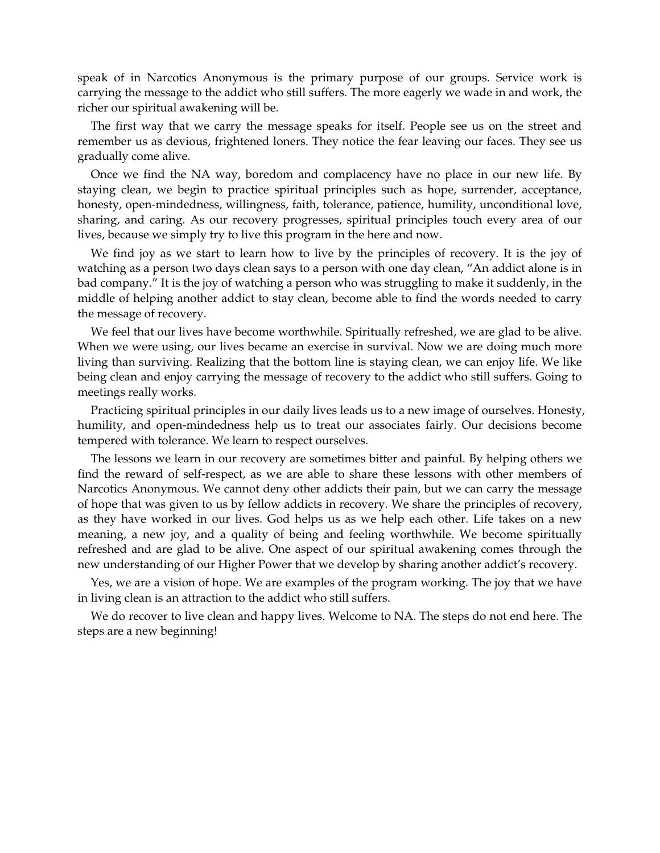speak of in Narcotics Anonymous is the primary purpose of our groups. Service work is carrying the message to the addict who still suffers. The more eagerly we wade in and work, the richer our spiritual awakening will be.

The first way that we carry the message speaks for itself. People see us on the street and remember us as devious, frightened loners. They notice the fear leaving our faces. They see us gradually come alive.

Once we find the NA way, boredom and complacency have no place in our new life. By staying clean, we begin to practice spiritual principles such as hope, surrender, acceptance, honesty, open-mindedness, willingness, faith, tolerance, patience, humility, unconditional love, sharing, and caring. As our recovery progresses, spiritual principles touch every area of our lives, because we simply try to live this program in the here and now.

We find joy as we start to learn how to live by the principles of recovery. It is the joy of watching as a person two days clean says to a person with one day clean, "An addict alone is in bad company." It is the joy of watching a person who was struggling to make it suddenly, in the middle of helping another addict to stay clean, become able to find the words needed to carry the message of recovery.

We feel that our lives have become worthwhile. Spiritually refreshed, we are glad to be alive. When we were using, our lives became an exercise in survival. Now we are doing much more living than surviving. Realizing that the bottom line is staying clean, we can enjoy life. We like being clean and enjoy carrying the message of recovery to the addict who still suffers. Going to meetings really works.

Practicing spiritual principles in our daily lives leads us to a new image of ourselves. Honesty, humility, and open-mindedness help us to treat our associates fairly. Our decisions become tempered with tolerance. We learn to respect ourselves.

The lessons we learn in our recovery are sometimes bitter and painful. By helping others we find the reward of self-respect, as we are able to share these lessons with other members of Narcotics Anonymous. We cannot deny other addicts their pain, but we can carry the message of hope that was given to us by fellow addicts in recovery. We share the principles of recovery, as they have worked in our lives. God helps us as we help each other. Life takes on a new meaning, a new joy, and a quality of being and feeling worthwhile. We become spiritually refreshed and are glad to be alive. One aspect of our spiritual awakening comes through the new understanding of our Higher Power that we develop by sharing another addict's recovery.

Yes, we are a vision of hope. We are examples of the program working. The joy that we have in living clean is an attraction to the addict who still suffers.

We do recover to live clean and happy lives. Welcome to NA. The steps do not end here. The steps are a new beginning!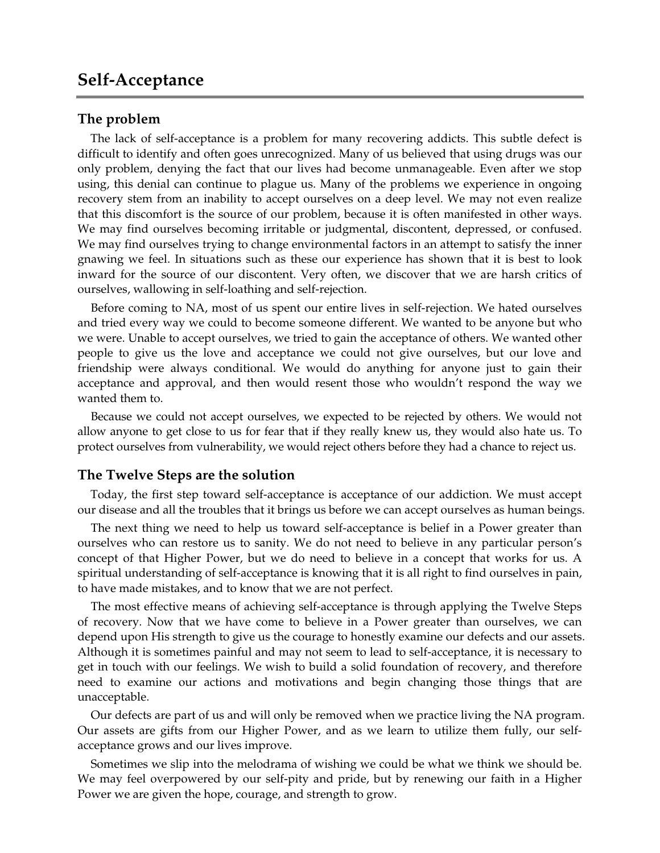# <span id="page-29-0"></span>**Self-Acceptance**

#### **The problem**

The lack of self-acceptance is a problem for many recovering addicts. This subtle defect is difficult to identify and often goes unrecognized. Many of us believed that using drugs was our only problem, denying the fact that our lives had become unmanageable. Even after we stop using, this denial can continue to plague us. Many of the problems we experience in ongoing recovery stem from an inability to accept ourselves on a deep level. We may not even realize that this discomfort is the source of our problem, because it is often manifested in other ways. We may find ourselves becoming irritable or judgmental, discontent, depressed, or confused. We may find ourselves trying to change environmental factors in an attempt to satisfy the inner gnawing we feel. In situations such as these our experience has shown that it is best to look inward for the source of our discontent. Very often, we discover that we are harsh critics of ourselves, wallowing in self-loathing and self-rejection.

Before coming to NA, most of us spent our entire lives in self-rejection. We hated ourselves and tried every way we could to become someone different. We wanted to be anyone but who we were. Unable to accept ourselves, we tried to gain the acceptance of others. We wanted other people to give us the love and acceptance we could not give ourselves, but our love and friendship were always conditional. We would do anything for anyone just to gain their acceptance and approval, and then would resent those who wouldn't respond the way we wanted them to.

Because we could not accept ourselves, we expected to be rejected by others. We would not allow anyone to get close to us for fear that if they really knew us, they would also hate us. To protect ourselves from vulnerability, we would reject others before they had a chance to reject us.

#### **The Twelve Steps are the solution**

Today, the first step toward self-acceptance is acceptance of our addiction. We must accept our disease and all the troubles that it brings us before we can accept ourselves as human beings.

The next thing we need to help us toward self-acceptance is belief in a Power greater than ourselves who can restore us to sanity. We do not need to believe in any particular person's concept of that Higher Power, but we do need to believe in a concept that works for us. A spiritual understanding of self-acceptance is knowing that it is all right to find ourselves in pain, to have made mistakes, and to know that we are not perfect.

The most effective means of achieving self-acceptance is through applying the Twelve Steps of recovery. Now that we have come to believe in a Power greater than ourselves, we can depend upon His strength to give us the courage to honestly examine our defects and our assets. Although it is sometimes painful and may not seem to lead to self-acceptance, it is necessary to get in touch with our feelings. We wish to build a solid foundation of recovery, and therefore need to examine our actions and motivations and begin changing those things that are unacceptable.

Our defects are part of us and will only be removed when we practice living the NA program. Our assets are gifts from our Higher Power, and as we learn to utilize them fully, our selfacceptance grows and our lives improve.

Sometimes we slip into the melodrama of wishing we could be what we think we should be. We may feel overpowered by our self-pity and pride, but by renewing our faith in a Higher Power we are given the hope, courage, and strength to grow.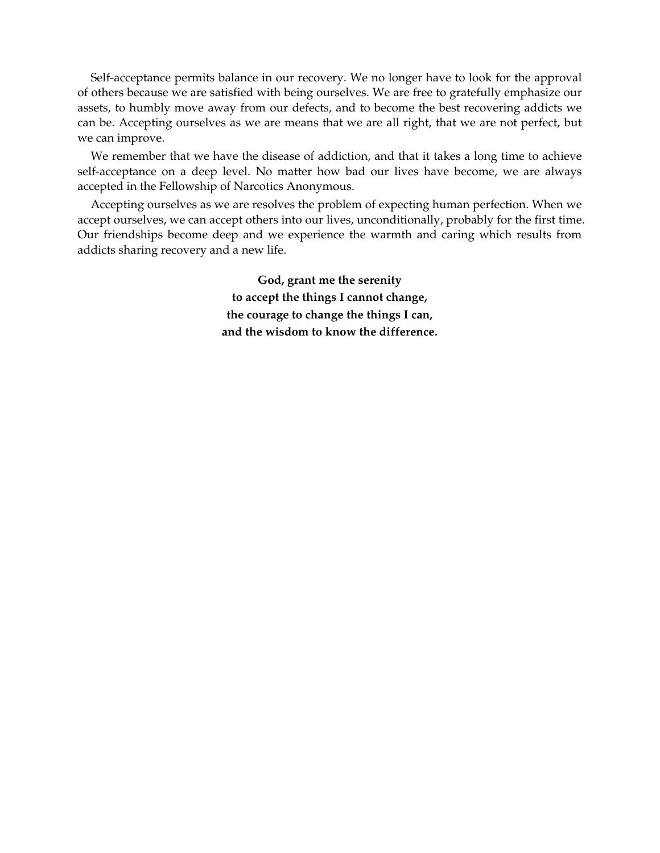Self-acceptance permits balance in our recovery. We no longer have to look for the approval of others because we are satisfied with being ourselves. We are free to gratefully emphasize our assets, to humbly move away from our defects, and to become the best recovering addicts we can be. Accepting ourselves as we are means that we are all right, that we are not perfect, but we can improve.

We remember that we have the disease of addiction, and that it takes a long time to achieve self-acceptance on a deep level. No matter how bad our lives have become, we are always accepted in the Fellowship of Narcotics Anonymous.

Accepting ourselves as we are resolves the problem of expecting human perfection. When we accept ourselves, we can accept others into our lives, unconditionally, probably for the first time. Our friendships become deep and we experience the warmth and caring which results from addicts sharing recovery and a new life.

> **God, grant me the serenity to accept the things I cannot change, the courage to change the things I can, and the wisdom to know the difference.**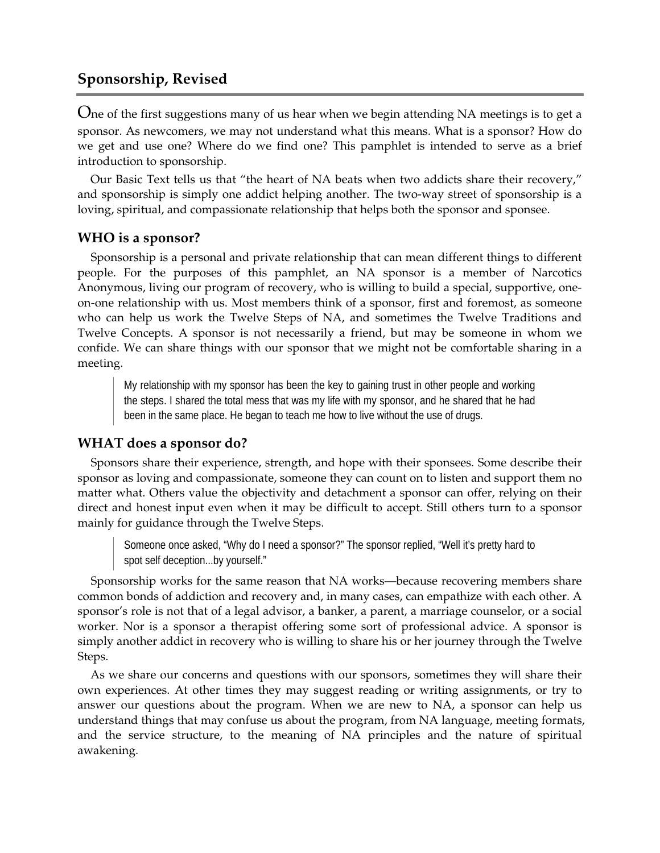## <span id="page-31-0"></span>**Sponsorship, Revised**

One of the first suggestions many of us hear when we begin attending NA meetings is to get a sponsor. As newcomers, we may not understand what this means. What is a sponsor? How do we get and use one? Where do we find one? This pamphlet is intended to serve as a brief introduction to sponsorship.

Our Basic Text tells us that "the heart of NA beats when two addicts share their recovery," and sponsorship is simply one addict helping another. The two-way street of sponsorship is a loving, spiritual, and compassionate relationship that helps both the sponsor and sponsee.

### **WHO is a sponsor?**

Sponsorship is a personal and private relationship that can mean different things to different people. For the purposes of this pamphlet, an NA sponsor is a member of Narcotics Anonymous, living our program of recovery, who is willing to build a special, supportive, oneon-one relationship with us. Most members think of a sponsor, first and foremost, as someone who can help us work the Twelve Steps of NA, and sometimes the Twelve Traditions and Twelve Concepts. A sponsor is not necessarily a friend, but may be someone in whom we confide. We can share things with our sponsor that we might not be comfortable sharing in a meeting.

My relationship with my sponsor has been the key to gaining trust in other people and working the steps. I shared the total mess that was my life with my sponsor, and he shared that he had been in the same place. He began to teach me how to live without the use of drugs.

### **WHAT does a sponsor do?**

Sponsors share their experience, strength, and hope with their sponsees. Some describe their sponsor as loving and compassionate, someone they can count on to listen and support them no matter what. Others value the objectivity and detachment a sponsor can offer, relying on their direct and honest input even when it may be difficult to accept. Still others turn to a sponsor mainly for guidance through the Twelve Steps.

Someone once asked, "Why do I need a sponsor?" The sponsor replied, "Well it's pretty hard to spot self deception...by yourself."

Sponsorship works for the same reason that NA works—because recovering members share common bonds of addiction and recovery and, in many cases, can empathize with each other. A sponsor's role is not that of a legal advisor, a banker, a parent, a marriage counselor, or a social worker. Nor is a sponsor a therapist offering some sort of professional advice. A sponsor is simply another addict in recovery who is willing to share his or her journey through the Twelve Steps.

As we share our concerns and questions with our sponsors, sometimes they will share their own experiences. At other times they may suggest reading or writing assignments, or try to answer our questions about the program. When we are new to NA, a sponsor can help us understand things that may confuse us about the program, from NA language, meeting formats, and the service structure, to the meaning of NA principles and the nature of spiritual awakening.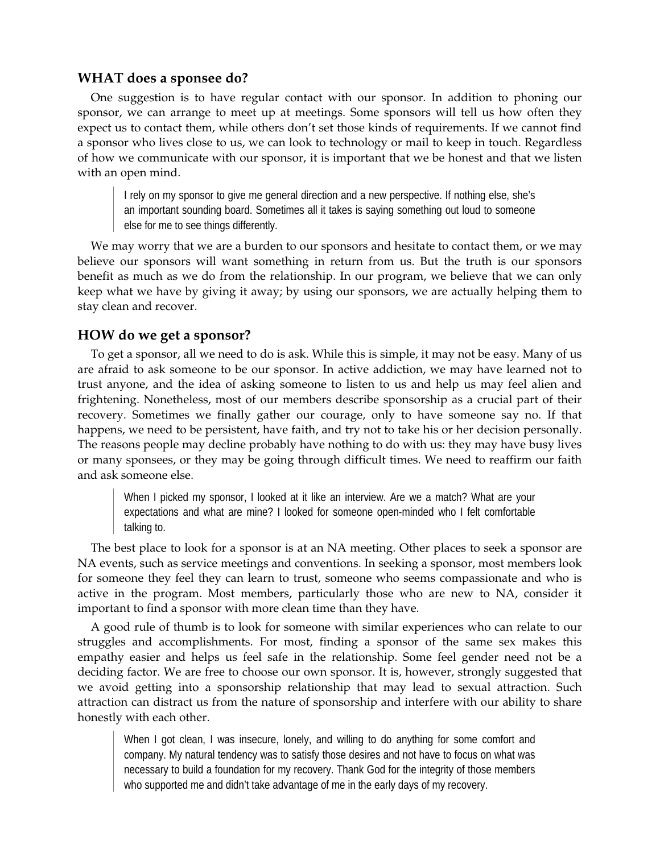#### **WHAT does a sponsee do?**

One suggestion is to have regular contact with our sponsor. In addition to phoning our sponsor, we can arrange to meet up at meetings. Some sponsors will tell us how often they expect us to contact them, while others don't set those kinds of requirements. If we cannot find a sponsor who lives close to us, we can look to technology or mail to keep in touch. Regardless of how we communicate with our sponsor, it is important that we be honest and that we listen with an open mind.

I rely on my sponsor to give me general direction and a new perspective. If nothing else, she's an important sounding board. Sometimes all it takes is saying something out loud to someone else for me to see things differently.

We may worry that we are a burden to our sponsors and hesitate to contact them, or we may believe our sponsors will want something in return from us. But the truth is our sponsors benefit as much as we do from the relationship. In our program, we believe that we can only keep what we have by giving it away; by using our sponsors, we are actually helping them to stay clean and recover.

### **HOW do we get a sponsor?**

To get a sponsor, all we need to do is ask. While this is simple, it may not be easy. Many of us are afraid to ask someone to be our sponsor. In active addiction, we may have learned not to trust anyone, and the idea of asking someone to listen to us and help us may feel alien and frightening. Nonetheless, most of our members describe sponsorship as a crucial part of their recovery. Sometimes we finally gather our courage, only to have someone say no. If that happens, we need to be persistent, have faith, and try not to take his or her decision personally. The reasons people may decline probably have nothing to do with us: they may have busy lives or many sponsees, or they may be going through difficult times. We need to reaffirm our faith and ask someone else.

When I picked my sponsor, I looked at it like an interview. Are we a match? What are your expectations and what are mine? I looked for someone open-minded who I felt comfortable talking to.

The best place to look for a sponsor is at an NA meeting. Other places to seek a sponsor are NA events, such as service meetings and conventions. In seeking a sponsor, most members look for someone they feel they can learn to trust, someone who seems compassionate and who is active in the program. Most members, particularly those who are new to NA, consider it important to find a sponsor with more clean time than they have.

A good rule of thumb is to look for someone with similar experiences who can relate to our struggles and accomplishments. For most, finding a sponsor of the same sex makes this empathy easier and helps us feel safe in the relationship. Some feel gender need not be a deciding factor. We are free to choose our own sponsor. It is, however, strongly suggested that we avoid getting into a sponsorship relationship that may lead to sexual attraction. Such attraction can distract us from the nature of sponsorship and interfere with our ability to share honestly with each other.

When I got clean, I was insecure, lonely, and willing to do anything for some comfort and company. My natural tendency was to satisfy those desires and not have to focus on what was necessary to build a foundation for my recovery. Thank God for the integrity of those members who supported me and didn't take advantage of me in the early days of my recovery.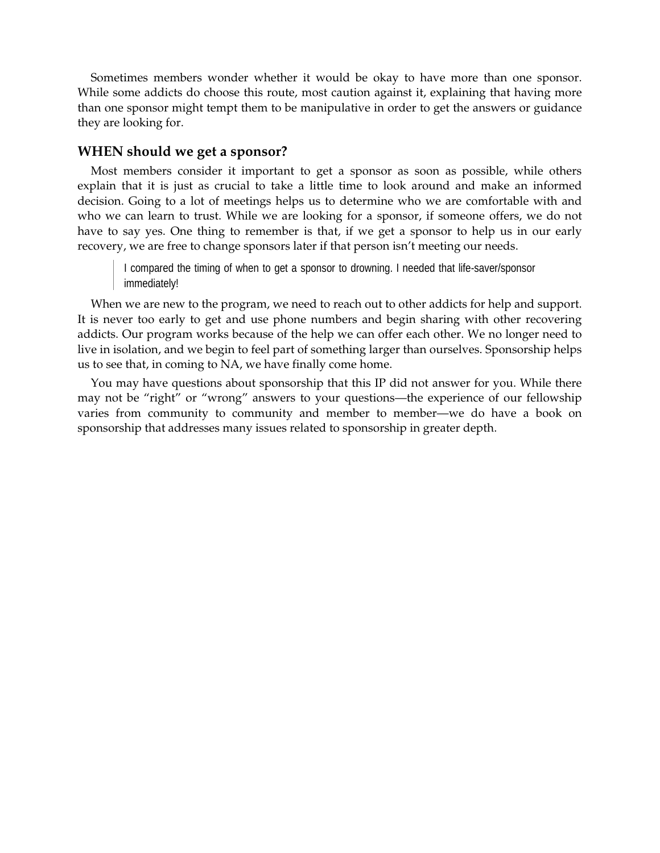Sometimes members wonder whether it would be okay to have more than one sponsor. While some addicts do choose this route, most caution against it, explaining that having more than one sponsor might tempt them to be manipulative in order to get the answers or guidance they are looking for.

#### **WHEN should we get a sponsor?**

Most members consider it important to get a sponsor as soon as possible, while others explain that it is just as crucial to take a little time to look around and make an informed decision. Going to a lot of meetings helps us to determine who we are comfortable with and who we can learn to trust. While we are looking for a sponsor, if someone offers, we do not have to say yes. One thing to remember is that, if we get a sponsor to help us in our early recovery, we are free to change sponsors later if that person isn't meeting our needs.

I compared the timing of when to get a sponsor to drowning. I needed that life-saver/sponsor immediately!

When we are new to the program, we need to reach out to other addicts for help and support. It is never too early to get and use phone numbers and begin sharing with other recovering addicts. Our program works because of the help we can offer each other. We no longer need to live in isolation, and we begin to feel part of something larger than ourselves. Sponsorship helps us to see that, in coming to NA, we have finally come home.

You may have questions about sponsorship that this IP did not answer for you. While there may not be "right" or "wrong" answers to your questions—the experience of our fellowship varies from community to community and member to member—we do have a book on sponsorship that addresses many issues related to sponsorship in greater depth.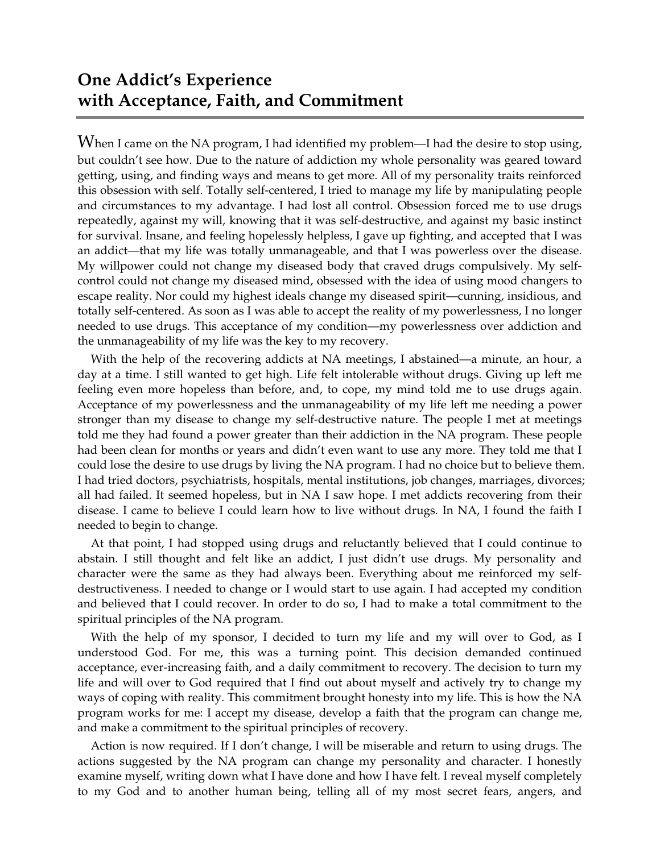# <span id="page-34-0"></span>**One Addict's Experience with Acceptance, Faith, and Commitment**

When I came on the NA program, I had identified my problem—I had the desire to stop using, but couldn't see how. Due to the nature of addiction my whole personality was geared toward getting, using, and finding ways and means to get more. All of my personality traits reinforced this obsession with self. Totally self-centered, I tried to manage my life by manipulating people and circumstances to my advantage. I had lost all control. Obsession forced me to use drugs repeatedly, against my will, knowing that it was self-destructive, and against my basic instinct for survival. Insane, and feeling hopelessly helpless, I gave up fighting, and accepted that I was an addict—that my life was totally unmanageable, and that I was powerless over the disease. My willpower could not change my diseased body that craved drugs compulsively. My selfcontrol could not change my diseased mind, obsessed with the idea of using mood changers to escape reality. Nor could my highest ideals change my diseased spirit—cunning, insidious, and totally self-centered. As soon as I was able to accept the reality of my powerlessness, I no longer needed to use drugs. This acceptance of my condition—my powerlessness over addiction and the unmanageability of my life was the key to my recovery.

With the help of the recovering addicts at NA meetings, I abstained—a minute, an hour, a day at a time. I still wanted to get high. Life felt intolerable without drugs. Giving up left me feeling even more hopeless than before, and, to cope, my mind told me to use drugs again. Acceptance of my powerlessness and the unmanageability of my life left me needing a power stronger than my disease to change my self-destructive nature. The people I met at meetings told me they had found a power greater than their addiction in the NA program. These people had been clean for months or years and didn't even want to use any more. They told me that I could lose the desire to use drugs by living the NA program. I had no choice but to believe them. I had tried doctors, psychiatrists, hospitals, mental institutions, job changes, marriages, divorces; all had failed. It seemed hopeless, but in NA I saw hope. I met addicts recovering from their disease. I came to believe I could learn how to live without drugs. In NA, I found the faith I needed to begin to change.

At that point, I had stopped using drugs and reluctantly believed that I could continue to abstain. I still thought and felt like an addict, I just didn't use drugs. My personality and character were the same as they had always been. Everything about me reinforced my selfdestructiveness. I needed to change or I would start to use again. I had accepted my condition and believed that I could recover. In order to do so, I had to make a total commitment to the spiritual principles of the NA program.

With the help of my sponsor, I decided to turn my life and my will over to God, as I understood God. For me, this was a turning point. This decision demanded continued acceptance, ever-increasing faith, and a daily commitment to recovery. The decision to turn my life and will over to God required that I find out about myself and actively try to change my ways of coping with reality. This commitment brought honesty into my life. This is how the NA program works for me: I accept my disease, develop a faith that the program can change me, and make a commitment to the spiritual principles of recovery.

Action is now required. If I don't change, I will be miserable and return to using drugs. The actions suggested by the NA program can change my personality and character. I honestly examine myself, writing down what I have done and how I have felt. I reveal myself completely to my God and to another human being, telling all of my most secret fears, angers, and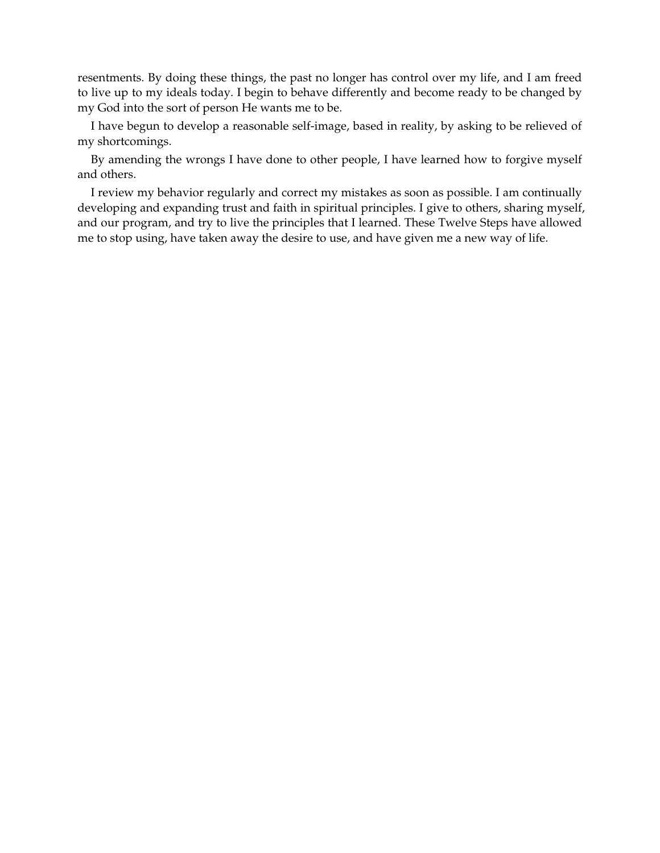resentments. By doing these things, the past no longer has control over my life, and I am freed to live up to my ideals today. I begin to behave differently and become ready to be changed by my God into the sort of person He wants me to be.

I have begun to develop a reasonable self-image, based in reality, by asking to be relieved of my shortcomings.

By amending the wrongs I have done to other people, I have learned how to forgive myself and others.

I review my behavior regularly and correct my mistakes as soon as possible. I am continually developing and expanding trust and faith in spiritual principles. I give to others, sharing myself, and our program, and try to live the principles that I learned. These Twelve Steps have allowed me to stop using, have taken away the desire to use, and have given me a new way of life.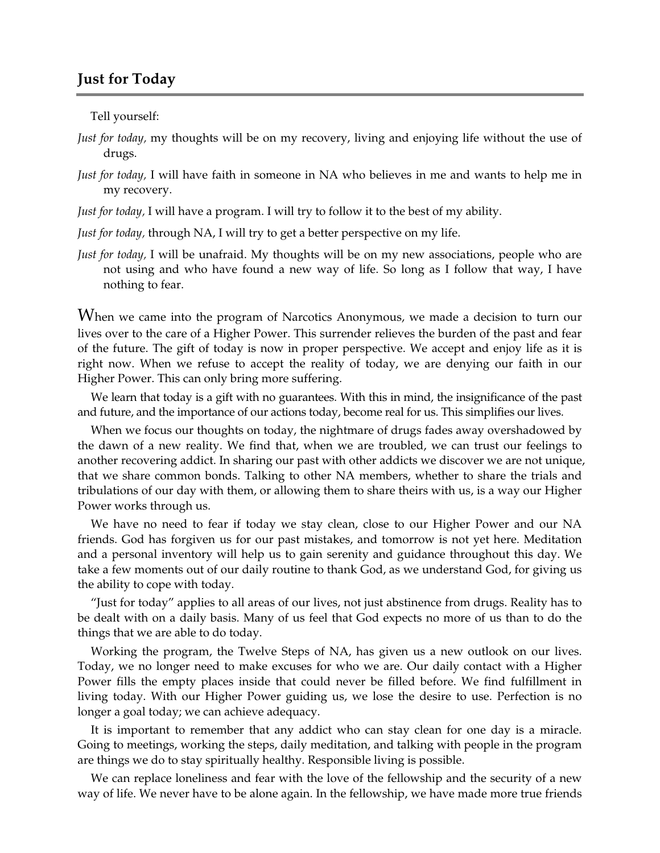### <span id="page-36-0"></span>**Just for Today**

Tell yourself:

- *Just for today,* my thoughts will be on my recovery, living and enjoying life without the use of drugs.
- *Just for today,* I will have faith in someone in NA who believes in me and wants to help me in my recovery.
- *Just for today,* I will have a program. I will try to follow it to the best of my ability.
- *Just for today,* through NA, I will try to get a better perspective on my life.
- *Just for today,* I will be unafraid. My thoughts will be on my new associations, people who are not using and who have found a new way of life. So long as I follow that way, I have nothing to fear.

When we came into the program of Narcotics Anonymous, we made a decision to turn our lives over to the care of a Higher Power. This surrender relieves the burden of the past and fear of the future. The gift of today is now in proper perspective. We accept and enjoy life as it is right now. When we refuse to accept the reality of today, we are denying our faith in our Higher Power. This can only bring more suffering.

We learn that today is a gift with no guarantees. With this in mind, the insignificance of the past and future, and the importance of our actions today, become real for us. This simplifies our lives.

When we focus our thoughts on today, the nightmare of drugs fades away overshadowed by the dawn of a new reality. We find that, when we are troubled, we can trust our feelings to another recovering addict. In sharing our past with other addicts we discover we are not unique, that we share common bonds. Talking to other NA members, whether to share the trials and tribulations of our day with them, or allowing them to share theirs with us, is a way our Higher Power works through us.

We have no need to fear if today we stay clean, close to our Higher Power and our NA friends. God has forgiven us for our past mistakes, and tomorrow is not yet here. Meditation and a personal inventory will help us to gain serenity and guidance throughout this day. We take a few moments out of our daily routine to thank God, as we understand God, for giving us the ability to cope with today.

"Just for today" applies to all areas of our lives, not just abstinence from drugs. Reality has to be dealt with on a daily basis. Many of us feel that God expects no more of us than to do the things that we are able to do today.

Working the program, the Twelve Steps of NA, has given us a new outlook on our lives. Today, we no longer need to make excuses for who we are. Our daily contact with a Higher Power fills the empty places inside that could never be filled before. We find fulfillment in living today. With our Higher Power guiding us, we lose the desire to use. Perfection is no longer a goal today; we can achieve adequacy.

It is important to remember that any addict who can stay clean for one day is a miracle. Going to meetings, working the steps, daily meditation, and talking with people in the program are things we do to stay spiritually healthy. Responsible living is possible.

We can replace loneliness and fear with the love of the fellowship and the security of a new way of life. We never have to be alone again. In the fellowship, we have made more true friends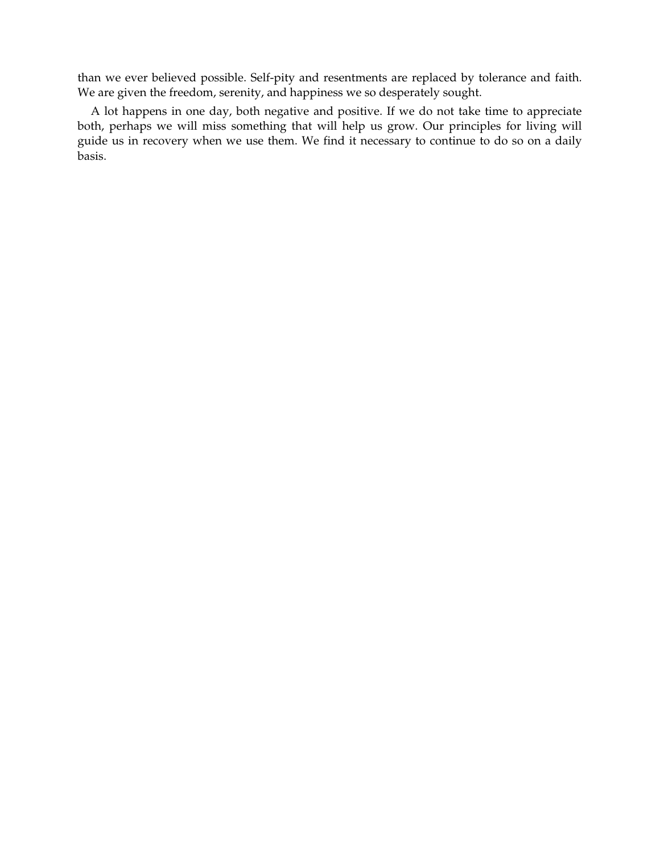than we ever believed possible. Self-pity and resentments are replaced by tolerance and faith. We are given the freedom, serenity, and happiness we so desperately sought.

A lot happens in one day, both negative and positive. If we do not take time to appreciate both, perhaps we will miss something that will help us grow. Our principles for living will guide us in recovery when we use them. We find it necessary to continue to do so on a daily basis.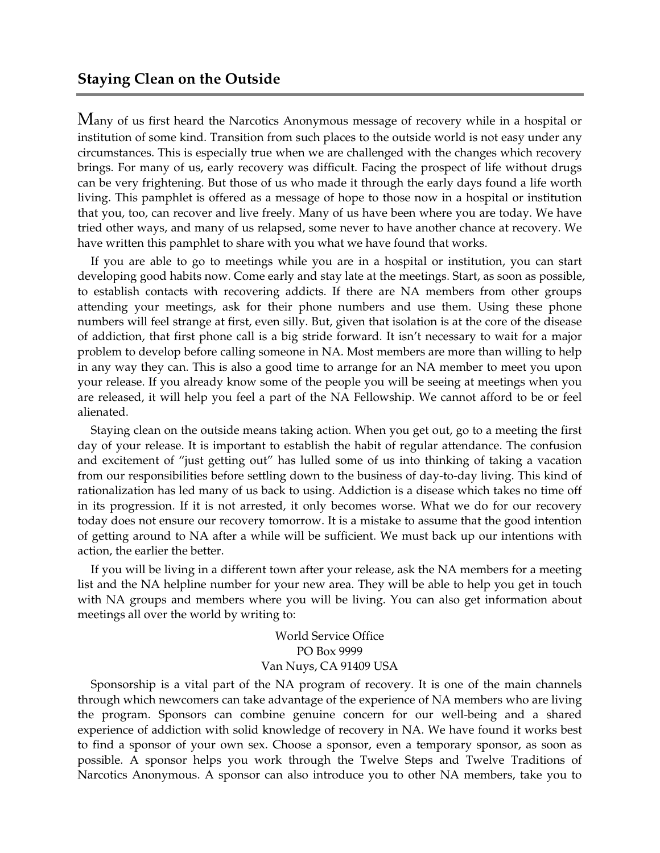### <span id="page-38-0"></span>**Staying Clean on the Outside**

Many of us first heard the Narcotics Anonymous message of recovery while in a hospital or institution of some kind. Transition from such places to the outside world is not easy under any circumstances. This is especially true when we are challenged with the changes which recovery brings. For many of us, early recovery was difficult. Facing the prospect of life without drugs can be very frightening. But those of us who made it through the early days found a life worth living. This pamphlet is offered as a message of hope to those now in a hospital or institution that you, too, can recover and live freely. Many of us have been where you are today. We have tried other ways, and many of us relapsed, some never to have another chance at recovery. We have written this pamphlet to share with you what we have found that works.

If you are able to go to meetings while you are in a hospital or institution, you can start developing good habits now. Come early and stay late at the meetings. Start, as soon as possible, to establish contacts with recovering addicts. If there are NA members from other groups attending your meetings, ask for their phone numbers and use them. Using these phone numbers will feel strange at first, even silly. But, given that isolation is at the core of the disease of addiction, that first phone call is a big stride forward. It isn't necessary to wait for a major problem to develop before calling someone in NA. Most members are more than willing to help in any way they can. This is also a good time to arrange for an NA member to meet you upon your release. If you already know some of the people you will be seeing at meetings when you are released, it will help you feel a part of the NA Fellowship. We cannot afford to be or feel alienated.

Staying clean on the outside means taking action. When you get out, go to a meeting the first day of your release. It is important to establish the habit of regular attendance. The confusion and excitement of "just getting out" has lulled some of us into thinking of taking a vacation from our responsibilities before settling down to the business of day-to-day living. This kind of rationalization has led many of us back to using. Addiction is a disease which takes no time off in its progression. If it is not arrested, it only becomes worse. What we do for our recovery today does not ensure our recovery tomorrow. It is a mistake to assume that the good intention of getting around to NA after a while will be sufficient. We must back up our intentions with action, the earlier the better.

If you will be living in a different town after your release, ask the NA members for a meeting list and the NA helpline number for your new area. They will be able to help you get in touch with NA groups and members where you will be living. You can also get information about meetings all over the world by writing to:

### World Service Office PO Box 9999 Van Nuys, CA 91409 USA

Sponsorship is a vital part of the NA program of recovery. It is one of the main channels through which newcomers can take advantage of the experience of NA members who are living the program. Sponsors can combine genuine concern for our well-being and a shared experience of addiction with solid knowledge of recovery in NA. We have found it works best to find a sponsor of your own sex. Choose a sponsor, even a temporary sponsor, as soon as possible. A sponsor helps you work through the Twelve Steps and Twelve Traditions of Narcotics Anonymous. A sponsor can also introduce you to other NA members, take you to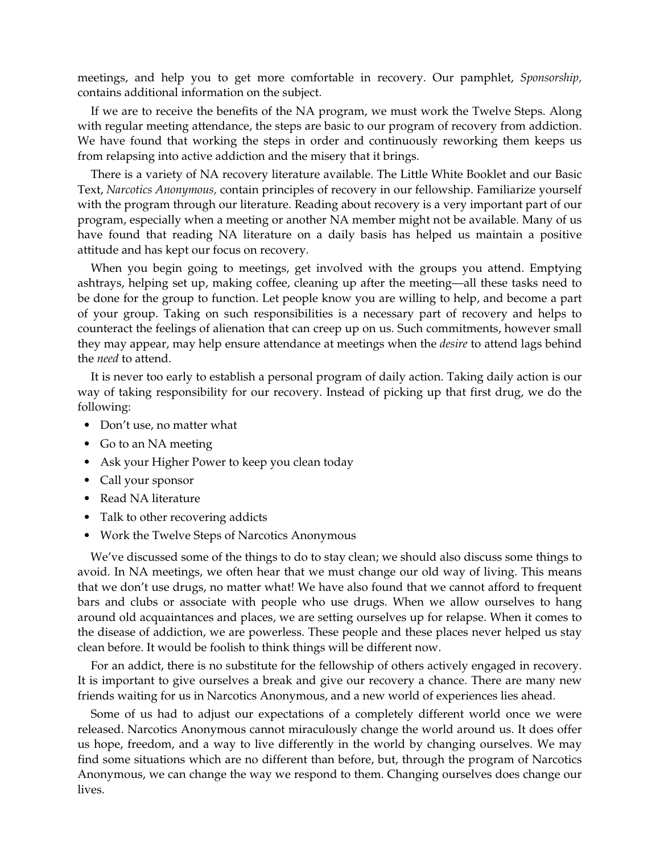meetings, and help you to get more comfortable in recovery. Our pamphlet, *Sponsorship,* contains additional information on the subject.

If we are to receive the benefits of the NA program, we must work the Twelve Steps. Along with regular meeting attendance, the steps are basic to our program of recovery from addiction. We have found that working the steps in order and continuously reworking them keeps us from relapsing into active addiction and the misery that it brings.

There is a variety of NA recovery literature available. The Little White Booklet and our Basic Text, *Narcotics Anonymous,* contain principles of recovery in our fellowship. Familiarize yourself with the program through our literature. Reading about recovery is a very important part of our program, especially when a meeting or another NA member might not be available. Many of us have found that reading NA literature on a daily basis has helped us maintain a positive attitude and has kept our focus on recovery.

When you begin going to meetings, get involved with the groups you attend. Emptying ashtrays, helping set up, making coffee, cleaning up after the meeting—all these tasks need to be done for the group to function. Let people know you are willing to help, and become a part of your group. Taking on such responsibilities is a necessary part of recovery and helps to counteract the feelings of alienation that can creep up on us. Such commitments, however small they may appear, may help ensure attendance at meetings when the *desire* to attend lags behind the *need* to attend.

It is never too early to establish a personal program of daily action. Taking daily action is our way of taking responsibility for our recovery. Instead of picking up that first drug, we do the following:

- Don't use, no matter what
- Go to an NA meeting
- Ask your Higher Power to keep you clean today
- Call your sponsor
- Read NA literature
- Talk to other recovering addicts
- Work the Twelve Steps of Narcotics Anonymous

We've discussed some of the things to do to stay clean; we should also discuss some things to avoid. In NA meetings, we often hear that we must change our old way of living. This means that we don't use drugs, no matter what! We have also found that we cannot afford to frequent bars and clubs or associate with people who use drugs. When we allow ourselves to hang around old acquaintances and places, we are setting ourselves up for relapse. When it comes to the disease of addiction, we are powerless. These people and these places never helped us stay clean before. It would be foolish to think things will be different now.

For an addict, there is no substitute for the fellowship of others actively engaged in recovery. It is important to give ourselves a break and give our recovery a chance. There are many new friends waiting for us in Narcotics Anonymous, and a new world of experiences lies ahead.

Some of us had to adjust our expectations of a completely different world once we were released. Narcotics Anonymous cannot miraculously change the world around us. It does offer us hope, freedom, and a way to live differently in the world by changing ourselves. We may find some situations which are no different than before, but, through the program of Narcotics Anonymous, we can change the way we respond to them. Changing ourselves does change our lives.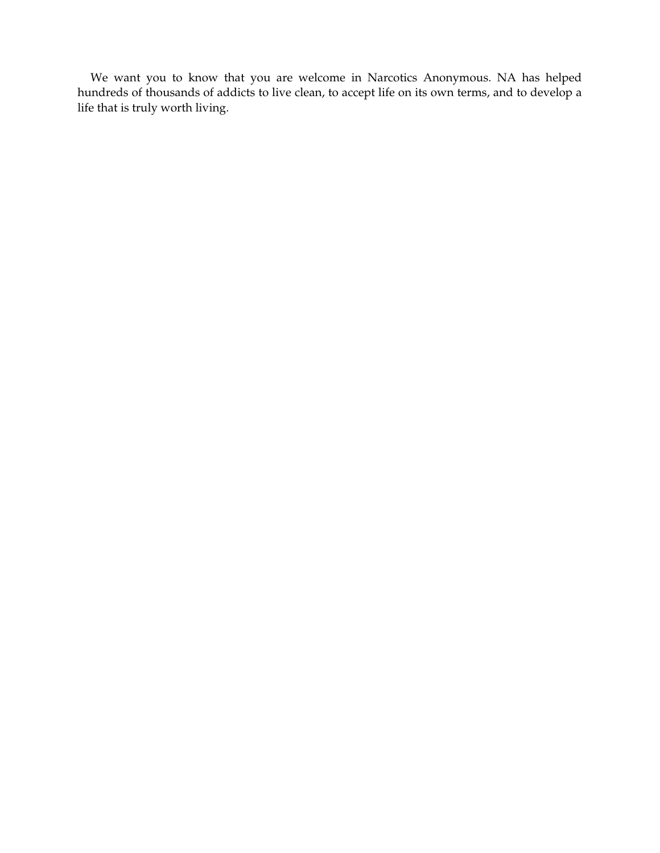We want you to know that you are welcome in Narcotics Anonymous. NA has helped hundreds of thousands of addicts to live clean, to accept life on its own terms, and to develop a life that is truly worth living.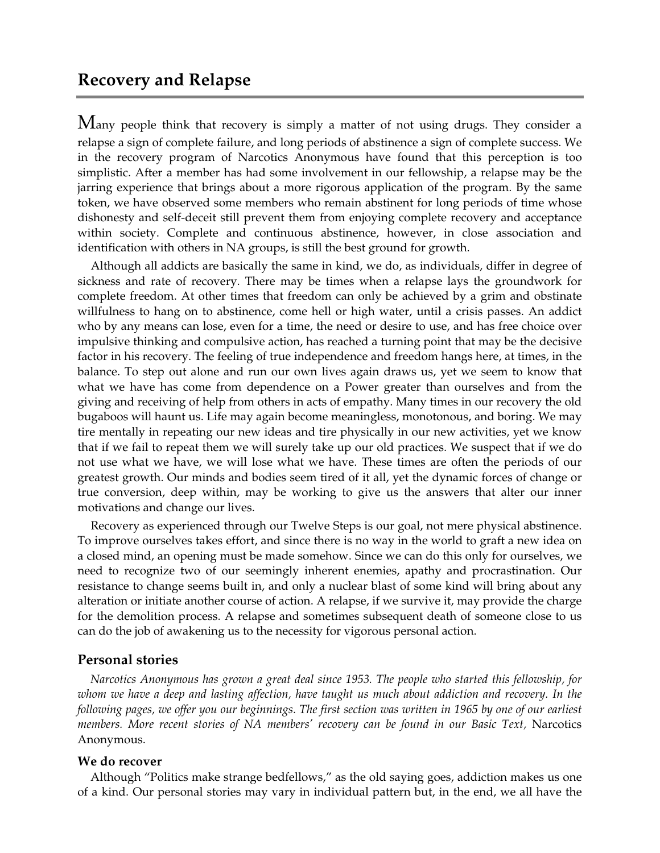# <span id="page-41-0"></span>**Recovery and Relapse**

Many people think that recovery is simply a matter of not using drugs. They consider a relapse a sign of complete failure, and long periods of abstinence a sign of complete success. We in the recovery program of Narcotics Anonymous have found that this perception is too simplistic. After a member has had some involvement in our fellowship, a relapse may be the jarring experience that brings about a more rigorous application of the program. By the same token, we have observed some members who remain abstinent for long periods of time whose dishonesty and self-deceit still prevent them from enjoying complete recovery and acceptance within society. Complete and continuous abstinence, however, in close association and identification with others in NA groups, is still the best ground for growth.

Although all addicts are basically the same in kind, we do, as individuals, differ in degree of sickness and rate of recovery. There may be times when a relapse lays the groundwork for complete freedom. At other times that freedom can only be achieved by a grim and obstinate willfulness to hang on to abstinence, come hell or high water, until a crisis passes. An addict who by any means can lose, even for a time, the need or desire to use, and has free choice over impulsive thinking and compulsive action, has reached a turning point that may be the decisive factor in his recovery. The feeling of true independence and freedom hangs here, at times, in the balance. To step out alone and run our own lives again draws us, yet we seem to know that what we have has come from dependence on a Power greater than ourselves and from the giving and receiving of help from others in acts of empathy. Many times in our recovery the old bugaboos will haunt us. Life may again become meaningless, monotonous, and boring. We may tire mentally in repeating our new ideas and tire physically in our new activities, yet we know that if we fail to repeat them we will surely take up our old practices. We suspect that if we do not use what we have, we will lose what we have. These times are often the periods of our greatest growth. Our minds and bodies seem tired of it all, yet the dynamic forces of change or true conversion, deep within, may be working to give us the answers that alter our inner motivations and change our lives.

Recovery as experienced through our Twelve Steps is our goal, not mere physical abstinence. To improve ourselves takes effort, and since there is no way in the world to graft a new idea on a closed mind, an opening must be made somehow. Since we can do this only for ourselves, we need to recognize two of our seemingly inherent enemies, apathy and procrastination. Our resistance to change seems built in, and only a nuclear blast of some kind will bring about any alteration or initiate another course of action. A relapse, if we survive it, may provide the charge for the demolition process. A relapse and sometimes subsequent death of someone close to us can do the job of awakening us to the necessity for vigorous personal action.

#### **Personal stories**

*Narcotics Anonymous has grown a great deal since 1953. The people who started this fellowship, for whom we have a deep and lasting affection, have taught us much about addiction and recovery. In the following pages, we offer you our beginnings. The first section was written in 1965 by one of our earliest members. More recent stories of NA members' recovery can be found in our Basic Text, Narcotics* Anonymous.

#### **We do recover**

Although "Politics make strange bedfellows," as the old saying goes, addiction makes us one of a kind. Our personal stories may vary in individual pattern but, in the end, we all have the